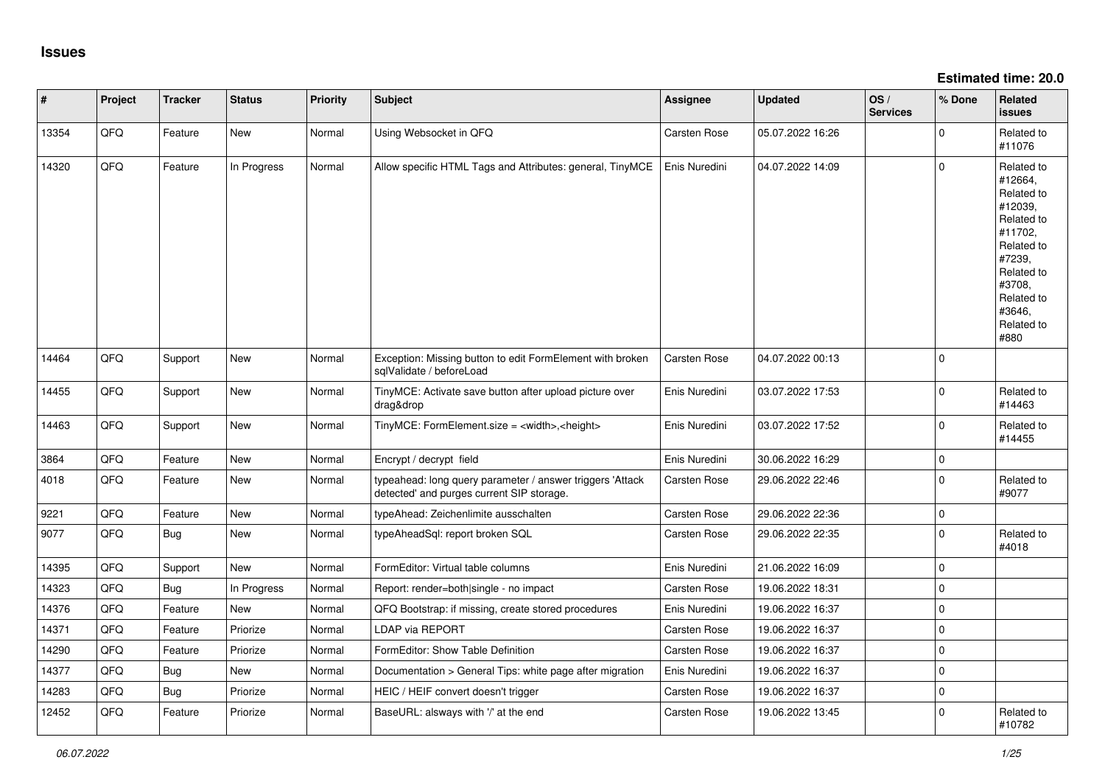**Estimated time: 20.0**

| #     | Project | <b>Tracker</b> | <b>Status</b> | <b>Priority</b> | <b>Subject</b>                                                                                         | Assignee            | <b>Updated</b>   | OS/<br><b>Services</b> | % Done      | Related<br><b>issues</b>                                                                                                                                              |
|-------|---------|----------------|---------------|-----------------|--------------------------------------------------------------------------------------------------------|---------------------|------------------|------------------------|-------------|-----------------------------------------------------------------------------------------------------------------------------------------------------------------------|
| 13354 | QFQ     | Feature        | <b>New</b>    | Normal          | Using Websocket in QFQ                                                                                 | Carsten Rose        | 05.07.2022 16:26 |                        | $\Omega$    | Related to<br>#11076                                                                                                                                                  |
| 14320 | QFQ     | Feature        | In Progress   | Normal          | Allow specific HTML Tags and Attributes: general, TinyMCE                                              | Enis Nuredini       | 04.07.2022 14:09 |                        | $\Omega$    | Related to<br>#12664,<br>Related to<br>#12039,<br>Related to<br>#11702,<br>Related to<br>#7239,<br>Related to<br>#3708,<br>Related to<br>#3646,<br>Related to<br>#880 |
| 14464 | QFQ     | Support        | New           | Normal          | Exception: Missing button to edit FormElement with broken<br>sqlValidate / beforeLoad                  | <b>Carsten Rose</b> | 04.07.2022 00:13 |                        | $\Omega$    |                                                                                                                                                                       |
| 14455 | QFQ     | Support        | <b>New</b>    | Normal          | TinyMCE: Activate save button after upload picture over<br>drag&drop                                   | Enis Nuredini       | 03.07.2022 17:53 |                        | $\Omega$    | Related to<br>#14463                                                                                                                                                  |
| 14463 | QFQ     | Support        | New           | Normal          | TinyMCE: FormElement.size = <width>,<height></height></width>                                          | Enis Nuredini       | 03.07.2022 17:52 |                        | $\Omega$    | Related to<br>#14455                                                                                                                                                  |
| 3864  | QFQ     | Feature        | <b>New</b>    | Normal          | Encrypt / decrypt field                                                                                | Enis Nuredini       | 30.06.2022 16:29 |                        | $\mathbf 0$ |                                                                                                                                                                       |
| 4018  | QFQ     | Feature        | New           | Normal          | typeahead: long query parameter / answer triggers 'Attack<br>detected' and purges current SIP storage. | <b>Carsten Rose</b> | 29.06.2022 22:46 |                        | $\mathbf 0$ | Related to<br>#9077                                                                                                                                                   |
| 9221  | QFQ     | Feature        | New           | Normal          | typeAhead: Zeichenlimite ausschalten                                                                   | Carsten Rose        | 29.06.2022 22:36 |                        | $\mathbf 0$ |                                                                                                                                                                       |
| 9077  | QFQ     | Bug            | <b>New</b>    | Normal          | typeAheadSql: report broken SQL                                                                        | <b>Carsten Rose</b> | 29.06.2022 22:35 |                        | $\Omega$    | Related to<br>#4018                                                                                                                                                   |
| 14395 | QFQ     | Support        | <b>New</b>    | Normal          | FormEditor: Virtual table columns                                                                      | Enis Nuredini       | 21.06.2022 16:09 |                        | $\mathbf 0$ |                                                                                                                                                                       |
| 14323 | QFQ     | Bug            | In Progress   | Normal          | Report: render=both single - no impact                                                                 | Carsten Rose        | 19.06.2022 18:31 |                        | $\Omega$    |                                                                                                                                                                       |
| 14376 | QFQ     | Feature        | <b>New</b>    | Normal          | QFQ Bootstrap: if missing, create stored procedures                                                    | Enis Nuredini       | 19.06.2022 16:37 |                        | $\mathbf 0$ |                                                                                                                                                                       |
| 14371 | QFQ     | Feature        | Priorize      | Normal          | LDAP via REPORT                                                                                        | Carsten Rose        | 19.06.2022 16:37 |                        | $\Omega$    |                                                                                                                                                                       |
| 14290 | QFQ     | Feature        | Priorize      | Normal          | FormEditor: Show Table Definition                                                                      | Carsten Rose        | 19.06.2022 16:37 |                        | $\Omega$    |                                                                                                                                                                       |
| 14377 | QFQ     | Bug            | <b>New</b>    | Normal          | Documentation > General Tips: white page after migration                                               | Enis Nuredini       | 19.06.2022 16:37 |                        | $\mathbf 0$ |                                                                                                                                                                       |
| 14283 | QFQ     | Bug            | Priorize      | Normal          | HEIC / HEIF convert doesn't trigger                                                                    | <b>Carsten Rose</b> | 19.06.2022 16:37 |                        | $\mathbf 0$ |                                                                                                                                                                       |
| 12452 | QFQ     | Feature        | Priorize      | Normal          | BaseURL: alsways with '/' at the end                                                                   | <b>Carsten Rose</b> | 19.06.2022 13:45 |                        | $\Omega$    | Related to<br>#10782                                                                                                                                                  |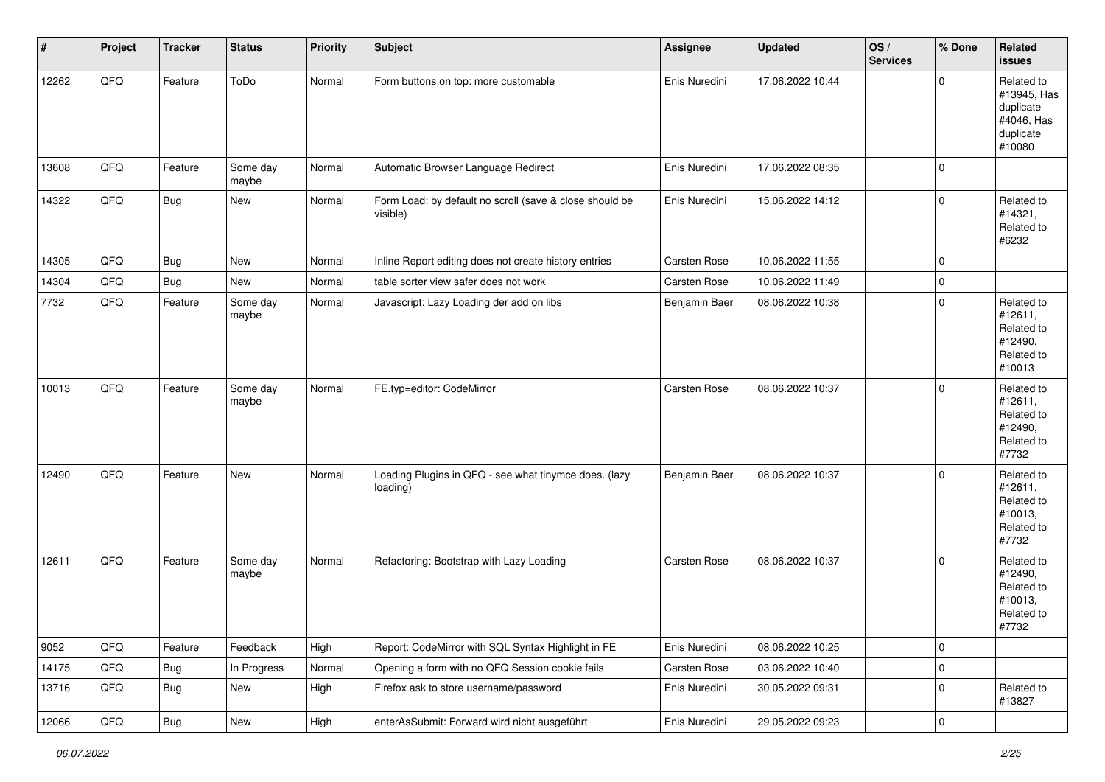| #     | Project | <b>Tracker</b> | <b>Status</b>     | <b>Priority</b> | Subject                                                             | <b>Assignee</b> | <b>Updated</b>   | OS/<br><b>Services</b> | % Done      | Related<br><b>issues</b>                                                    |
|-------|---------|----------------|-------------------|-----------------|---------------------------------------------------------------------|-----------------|------------------|------------------------|-------------|-----------------------------------------------------------------------------|
| 12262 | QFQ     | Feature        | ToDo              | Normal          | Form buttons on top: more customable                                | Enis Nuredini   | 17.06.2022 10:44 |                        | 0           | Related to<br>#13945, Has<br>duplicate<br>#4046, Has<br>duplicate<br>#10080 |
| 13608 | QFQ     | Feature        | Some day<br>maybe | Normal          | Automatic Browser Language Redirect                                 | Enis Nuredini   | 17.06.2022 08:35 |                        | 0           |                                                                             |
| 14322 | QFQ     | <b>Bug</b>     | New               | Normal          | Form Load: by default no scroll (save & close should be<br>visible) | Enis Nuredini   | 15.06.2022 14:12 |                        | 0           | Related to<br>#14321,<br>Related to<br>#6232                                |
| 14305 | QFQ     | <b>Bug</b>     | New               | Normal          | Inline Report editing does not create history entries               | Carsten Rose    | 10.06.2022 11:55 |                        | 0           |                                                                             |
| 14304 | QFQ     | <b>Bug</b>     | New               | Normal          | table sorter view safer does not work                               | Carsten Rose    | 10.06.2022 11:49 |                        | 0           |                                                                             |
| 7732  | QFQ     | Feature        | Some day<br>maybe | Normal          | Javascript: Lazy Loading der add on libs                            | Benjamin Baer   | 08.06.2022 10:38 |                        | 0           | Related to<br>#12611,<br>Related to<br>#12490,<br>Related to<br>#10013      |
| 10013 | QFQ     | Feature        | Some day<br>maybe | Normal          | FE.typ=editor: CodeMirror                                           | Carsten Rose    | 08.06.2022 10:37 |                        | 0           | Related to<br>#12611,<br>Related to<br>#12490,<br>Related to<br>#7732       |
| 12490 | QFQ     | Feature        | New               | Normal          | Loading Plugins in QFQ - see what tinymce does. (lazy<br>loading)   | Benjamin Baer   | 08.06.2022 10:37 |                        | 0           | Related to<br>#12611,<br>Related to<br>#10013,<br>Related to<br>#7732       |
| 12611 | QFQ     | Feature        | Some day<br>maybe | Normal          | Refactoring: Bootstrap with Lazy Loading                            | Carsten Rose    | 08.06.2022 10:37 |                        | $\Omega$    | Related to<br>#12490,<br>Related to<br>#10013,<br>Related to<br>#7732       |
| 9052  | QFQ     | Feature        | Feedback          | High            | Report: CodeMirror with SQL Syntax Highlight in FE                  | Enis Nuredini   | 08.06.2022 10:25 |                        | 0           |                                                                             |
| 14175 | QFQ     | Bug            | In Progress       | Normal          | Opening a form with no QFQ Session cookie fails                     | Carsten Rose    | 03.06.2022 10:40 |                        | 0           |                                                                             |
| 13716 | QFQ     | Bug            | New               | High            | Firefox ask to store username/password                              | Enis Nuredini   | 30.05.2022 09:31 |                        | $\mathbf 0$ | Related to<br>#13827                                                        |
| 12066 | QFG     | <b>Bug</b>     | New               | High            | enterAsSubmit: Forward wird nicht ausgeführt                        | Enis Nuredini   | 29.05.2022 09:23 |                        | 0           |                                                                             |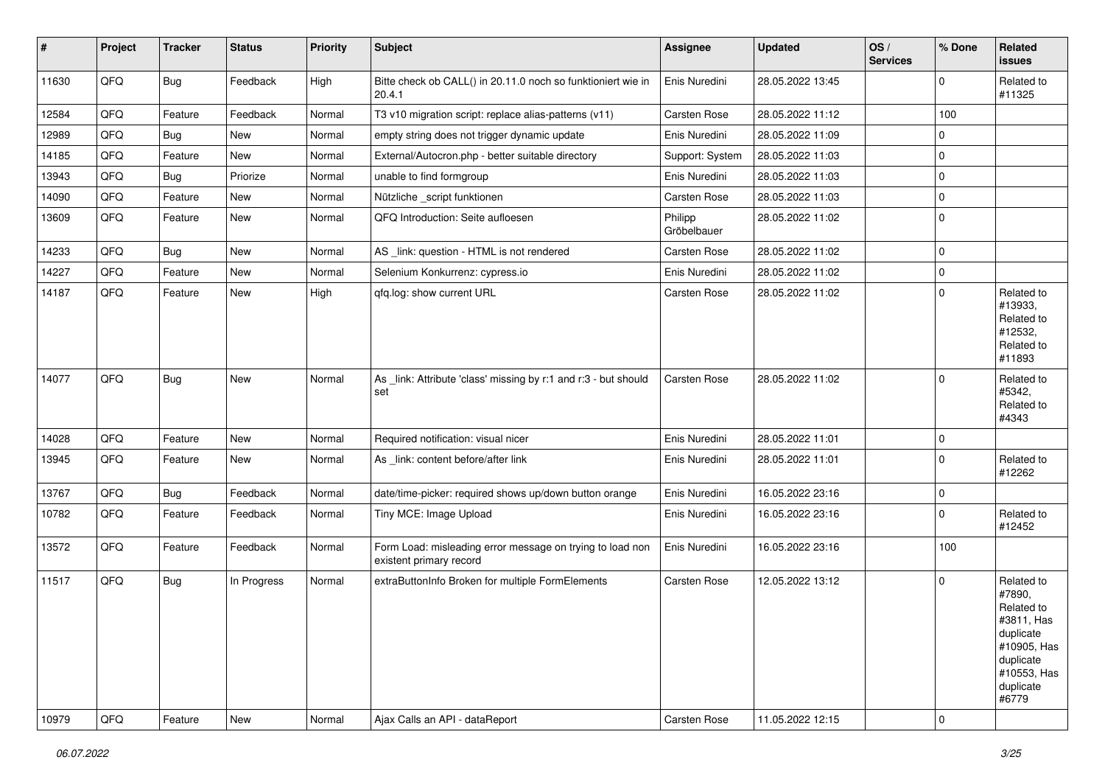| #     | Project | <b>Tracker</b> | <b>Status</b> | <b>Priority</b> | <b>Subject</b>                                                                       | Assignee               | <b>Updated</b>   | OS/<br><b>Services</b> | % Done      | Related<br><b>issues</b>                                                                                                       |
|-------|---------|----------------|---------------|-----------------|--------------------------------------------------------------------------------------|------------------------|------------------|------------------------|-------------|--------------------------------------------------------------------------------------------------------------------------------|
| 11630 | QFQ     | <b>Bug</b>     | Feedback      | High            | Bitte check ob CALL() in 20.11.0 noch so funktioniert wie in<br>20.4.1               | Enis Nuredini          | 28.05.2022 13:45 |                        | 0           | Related to<br>#11325                                                                                                           |
| 12584 | QFQ     | Feature        | Feedback      | Normal          | T3 v10 migration script: replace alias-patterns (v11)                                | Carsten Rose           | 28.05.2022 11:12 |                        | 100         |                                                                                                                                |
| 12989 | QFQ     | Bug            | New           | Normal          | empty string does not trigger dynamic update                                         | Enis Nuredini          | 28.05.2022 11:09 |                        | $\mathbf 0$ |                                                                                                                                |
| 14185 | QFQ     | Feature        | New           | Normal          | External/Autocron.php - better suitable directory                                    | Support: System        | 28.05.2022 11:03 |                        | 0           |                                                                                                                                |
| 13943 | QFQ     | Bug            | Priorize      | Normal          | unable to find formgroup                                                             | Enis Nuredini          | 28.05.2022 11:03 |                        | $\mathbf 0$ |                                                                                                                                |
| 14090 | QFQ     | Feature        | <b>New</b>    | Normal          | Nützliche _script funktionen                                                         | Carsten Rose           | 28.05.2022 11:03 |                        | 0           |                                                                                                                                |
| 13609 | QFQ     | Feature        | <b>New</b>    | Normal          | QFQ Introduction: Seite aufloesen                                                    | Philipp<br>Gröbelbauer | 28.05.2022 11:02 |                        | 0           |                                                                                                                                |
| 14233 | QFQ     | Bug            | <b>New</b>    | Normal          | AS _link: question - HTML is not rendered                                            | Carsten Rose           | 28.05.2022 11:02 |                        | $\mathbf 0$ |                                                                                                                                |
| 14227 | QFQ     | Feature        | <b>New</b>    | Normal          | Selenium Konkurrenz: cypress.io                                                      | Enis Nuredini          | 28.05.2022 11:02 |                        | 0           |                                                                                                                                |
| 14187 | QFQ     | Feature        | New           | High            | qfq.log: show current URL                                                            | Carsten Rose           | 28.05.2022 11:02 |                        | $\Omega$    | Related to<br>#13933,<br>Related to<br>#12532,<br>Related to<br>#11893                                                         |
| 14077 | QFQ     | <b>Bug</b>     | New           | Normal          | As _link: Attribute 'class' missing by r:1 and r:3 - but should<br>set               | Carsten Rose           | 28.05.2022 11:02 |                        | 0           | Related to<br>#5342,<br>Related to<br>#4343                                                                                    |
| 14028 | QFQ     | Feature        | <b>New</b>    | Normal          | Required notification: visual nicer                                                  | Enis Nuredini          | 28.05.2022 11:01 |                        | 0           |                                                                                                                                |
| 13945 | QFQ     | Feature        | New           | Normal          | As _link: content before/after link                                                  | Enis Nuredini          | 28.05.2022 11:01 |                        | 0           | Related to<br>#12262                                                                                                           |
| 13767 | QFQ     | <b>Bug</b>     | Feedback      | Normal          | date/time-picker: required shows up/down button orange                               | Enis Nuredini          | 16.05.2022 23:16 |                        | 0           |                                                                                                                                |
| 10782 | QFQ     | Feature        | Feedback      | Normal          | Tiny MCE: Image Upload                                                               | Enis Nuredini          | 16.05.2022 23:16 |                        | $\mathbf 0$ | Related to<br>#12452                                                                                                           |
| 13572 | QFQ     | Feature        | Feedback      | Normal          | Form Load: misleading error message on trying to load non<br>existent primary record | Enis Nuredini          | 16.05.2022 23:16 |                        | 100         |                                                                                                                                |
| 11517 | QFQ     | <b>Bug</b>     | In Progress   | Normal          | extraButtonInfo Broken for multiple FormElements                                     | Carsten Rose           | 12.05.2022 13:12 |                        | 0           | Related to<br>#7890,<br>Related to<br>#3811, Has<br>duplicate<br>#10905, Has<br>duplicate<br>#10553, Has<br>duplicate<br>#6779 |
| 10979 | QFQ     | Feature        | <b>New</b>    | Normal          | Ajax Calls an API - dataReport                                                       | Carsten Rose           | 11.05.2022 12:15 |                        | $\mathbf 0$ |                                                                                                                                |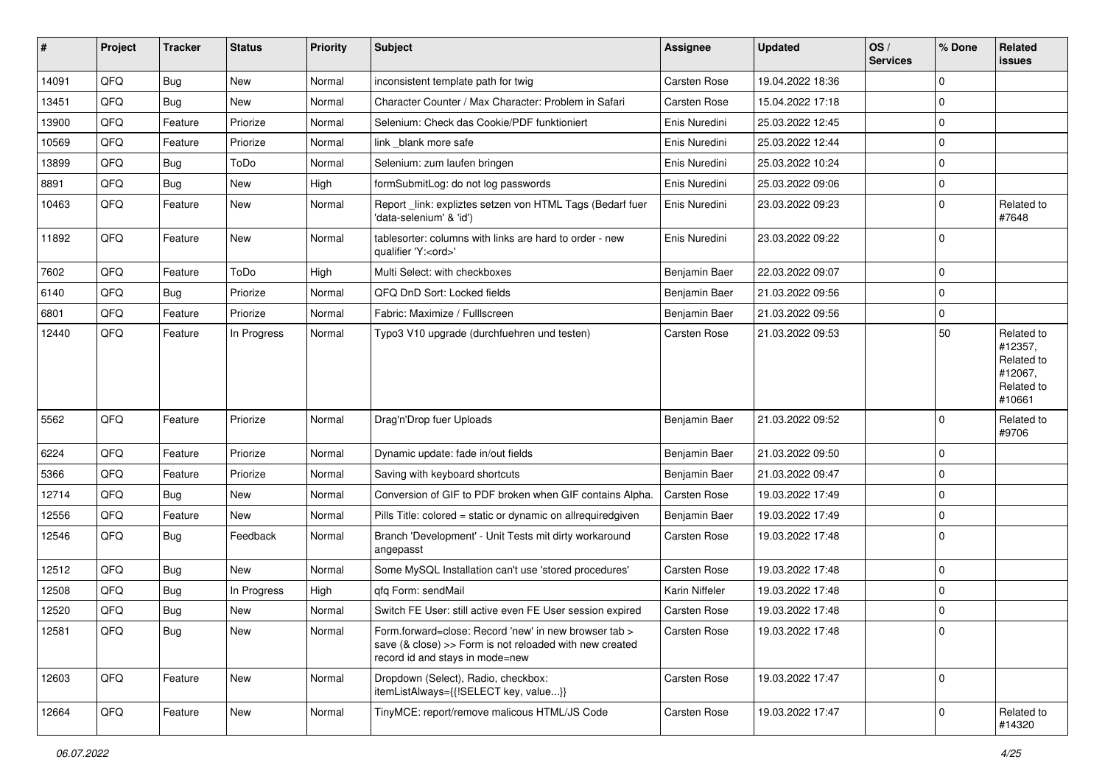| #     | Project | <b>Tracker</b> | <b>Status</b> | <b>Priority</b> | <b>Subject</b>                                                                                                                                      | Assignee            | <b>Updated</b>   | OS/<br><b>Services</b> | % Done      | Related<br><b>issues</b>                                               |
|-------|---------|----------------|---------------|-----------------|-----------------------------------------------------------------------------------------------------------------------------------------------------|---------------------|------------------|------------------------|-------------|------------------------------------------------------------------------|
| 14091 | QFQ     | Bug            | New           | Normal          | inconsistent template path for twig                                                                                                                 | Carsten Rose        | 19.04.2022 18:36 |                        | 0           |                                                                        |
| 13451 | QFQ     | Bug            | New           | Normal          | Character Counter / Max Character: Problem in Safari                                                                                                | Carsten Rose        | 15.04.2022 17:18 |                        | 0           |                                                                        |
| 13900 | QFQ     | Feature        | Priorize      | Normal          | Selenium: Check das Cookie/PDF funktioniert                                                                                                         | Enis Nuredini       | 25.03.2022 12:45 |                        | $\mathbf 0$ |                                                                        |
| 10569 | QFQ     | Feature        | Priorize      | Normal          | link _blank more safe                                                                                                                               | Enis Nuredini       | 25.03.2022 12:44 |                        | 0           |                                                                        |
| 13899 | QFQ     | Bug            | ToDo          | Normal          | Selenium: zum laufen bringen                                                                                                                        | Enis Nuredini       | 25.03.2022 10:24 |                        | 0           |                                                                        |
| 8891  | QFQ     | Bug            | New           | High            | formSubmitLog: do not log passwords                                                                                                                 | Enis Nuredini       | 25.03.2022 09:06 |                        | 0           |                                                                        |
| 10463 | QFQ     | Feature        | <b>New</b>    | Normal          | Report_link: expliztes setzen von HTML Tags (Bedarf fuer<br>'data-selenium' & 'id')                                                                 | Enis Nuredini       | 23.03.2022 09:23 |                        | $\mathbf 0$ | Related to<br>#7648                                                    |
| 11892 | QFQ     | Feature        | New           | Normal          | tablesorter: columns with links are hard to order - new<br>qualifier 'Y: <ord>'</ord>                                                               | Enis Nuredini       | 23.03.2022 09:22 |                        | 0           |                                                                        |
| 7602  | QFQ     | Feature        | ToDo          | High            | Multi Select: with checkboxes                                                                                                                       | Benjamin Baer       | 22.03.2022 09:07 |                        | $\mathbf 0$ |                                                                        |
| 6140  | QFQ     | Bug            | Priorize      | Normal          | QFQ DnD Sort: Locked fields                                                                                                                         | Benjamin Baer       | 21.03.2022 09:56 |                        | 0           |                                                                        |
| 6801  | QFQ     | Feature        | Priorize      | Normal          | Fabric: Maximize / Fulllscreen                                                                                                                      | Benjamin Baer       | 21.03.2022 09:56 |                        | 0           |                                                                        |
| 12440 | QFQ     | Feature        | In Progress   | Normal          | Typo3 V10 upgrade (durchfuehren und testen)                                                                                                         | Carsten Rose        | 21.03.2022 09:53 |                        | 50          | Related to<br>#12357,<br>Related to<br>#12067,<br>Related to<br>#10661 |
| 5562  | QFQ     | Feature        | Priorize      | Normal          | Drag'n'Drop fuer Uploads                                                                                                                            | Benjamin Baer       | 21.03.2022 09:52 |                        | $\mathbf 0$ | Related to<br>#9706                                                    |
| 6224  | QFQ     | Feature        | Priorize      | Normal          | Dynamic update: fade in/out fields                                                                                                                  | Benjamin Baer       | 21.03.2022 09:50 |                        | 0           |                                                                        |
| 5366  | QFQ     | Feature        | Priorize      | Normal          | Saving with keyboard shortcuts                                                                                                                      | Benjamin Baer       | 21.03.2022 09:47 |                        | $\mathbf 0$ |                                                                        |
| 12714 | QFQ     | Bug            | New           | Normal          | Conversion of GIF to PDF broken when GIF contains Alpha.                                                                                            | Carsten Rose        | 19.03.2022 17:49 |                        | 0           |                                                                        |
| 12556 | QFQ     | Feature        | New           | Normal          | Pills Title: colored = static or dynamic on allrequiredgiven                                                                                        | Benjamin Baer       | 19.03.2022 17:49 |                        | 0           |                                                                        |
| 12546 | QFQ     | Bug            | Feedback      | Normal          | Branch 'Development' - Unit Tests mit dirty workaround<br>angepasst                                                                                 | Carsten Rose        | 19.03.2022 17:48 |                        | $\mathbf 0$ |                                                                        |
| 12512 | QFQ     | Bug            | New           | Normal          | Some MySQL Installation can't use 'stored procedures'                                                                                               | Carsten Rose        | 19.03.2022 17:48 |                        | 0           |                                                                        |
| 12508 | QFQ     | Bug            | In Progress   | High            | gfg Form: sendMail                                                                                                                                  | Karin Niffeler      | 19.03.2022 17:48 |                        | 0           |                                                                        |
| 12520 | QFQ     | Bug            | <b>New</b>    | Normal          | Switch FE User: still active even FE User session expired                                                                                           | <b>Carsten Rose</b> | 19.03.2022 17:48 |                        | 0           |                                                                        |
| 12581 | QFQ     | Bug            | New           | Normal          | Form.forward=close: Record 'new' in new browser tab ><br>save (& close) >> Form is not reloaded with new created<br>record id and stays in mode=new | Carsten Rose        | 19.03.2022 17:48 |                        | 0           |                                                                        |
| 12603 | QFQ     | Feature        | New           | Normal          | Dropdown (Select), Radio, checkbox:<br>itemListAlways={{!SELECT key, value}}                                                                        | Carsten Rose        | 19.03.2022 17:47 |                        | $\mathbf 0$ |                                                                        |
| 12664 | QFQ     | Feature        | New           | Normal          | TinyMCE: report/remove malicous HTML/JS Code                                                                                                        | Carsten Rose        | 19.03.2022 17:47 |                        | 0           | Related to<br>#14320                                                   |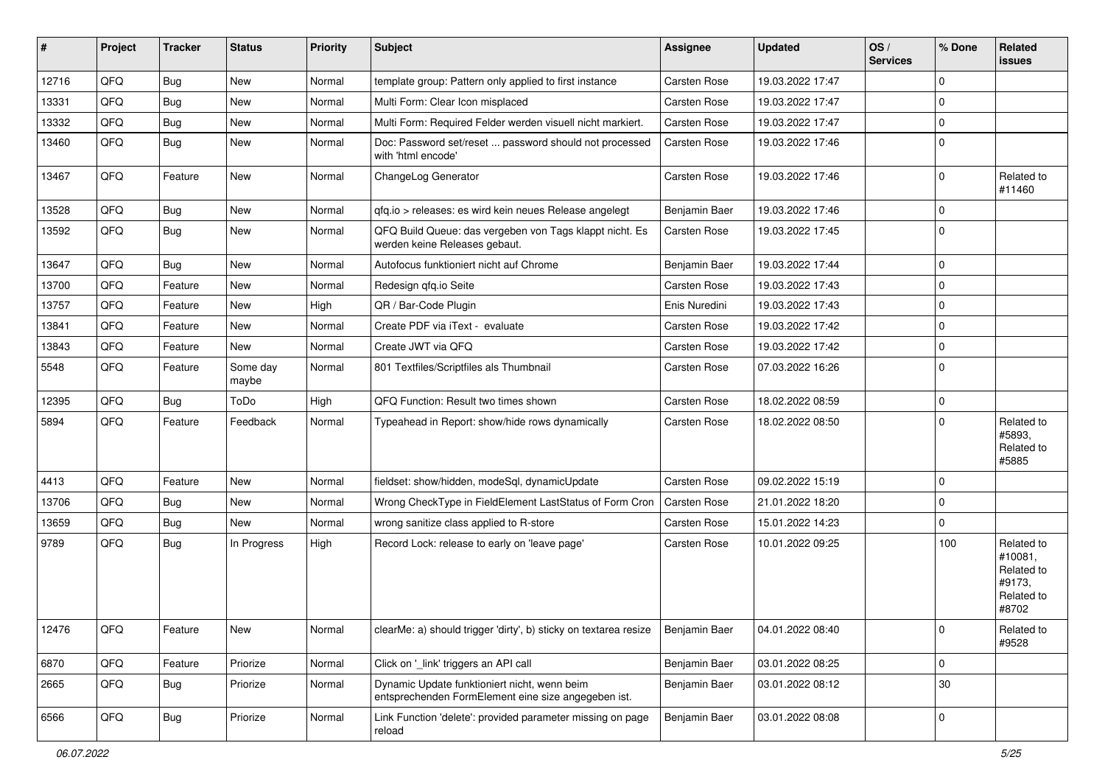| #     | Project | <b>Tracker</b> | <b>Status</b>     | <b>Priority</b> | Subject                                                                                             | <b>Assignee</b>     | <b>Updated</b>   | OS/<br><b>Services</b> | % Done      | Related<br><b>issues</b>                                             |
|-------|---------|----------------|-------------------|-----------------|-----------------------------------------------------------------------------------------------------|---------------------|------------------|------------------------|-------------|----------------------------------------------------------------------|
| 12716 | QFQ     | Bug            | New               | Normal          | template group: Pattern only applied to first instance                                              | Carsten Rose        | 19.03.2022 17:47 |                        | $\mathbf 0$ |                                                                      |
| 13331 | QFQ     | Bug            | <b>New</b>        | Normal          | Multi Form: Clear Icon misplaced                                                                    | Carsten Rose        | 19.03.2022 17:47 |                        | $\mathbf 0$ |                                                                      |
| 13332 | QFQ     | <b>Bug</b>     | <b>New</b>        | Normal          | Multi Form: Required Felder werden visuell nicht markiert.                                          | Carsten Rose        | 19.03.2022 17:47 |                        | $\mathbf 0$ |                                                                      |
| 13460 | QFQ     | Bug            | New               | Normal          | Doc: Password set/reset  password should not processed<br>with 'html encode'                        | Carsten Rose        | 19.03.2022 17:46 |                        | $\mathbf 0$ |                                                                      |
| 13467 | QFQ     | Feature        | New               | Normal          | ChangeLog Generator                                                                                 | Carsten Rose        | 19.03.2022 17:46 |                        | $\mathbf 0$ | Related to<br>#11460                                                 |
| 13528 | QFQ     | Bug            | New               | Normal          | qfq.io > releases: es wird kein neues Release angelegt                                              | Benjamin Baer       | 19.03.2022 17:46 |                        | $\mathbf 0$ |                                                                      |
| 13592 | QFQ     | Bug            | New               | Normal          | QFQ Build Queue: das vergeben von Tags klappt nicht. Es<br>werden keine Releases gebaut.            | Carsten Rose        | 19.03.2022 17:45 |                        | $\mathbf 0$ |                                                                      |
| 13647 | QFQ     | <b>Bug</b>     | New               | Normal          | Autofocus funktioniert nicht auf Chrome                                                             | Benjamin Baer       | 19.03.2022 17:44 |                        | $\mathbf 0$ |                                                                      |
| 13700 | QFQ     | Feature        | New               | Normal          | Redesign qfq.io Seite                                                                               | Carsten Rose        | 19.03.2022 17:43 |                        | $\mathbf 0$ |                                                                      |
| 13757 | QFQ     | Feature        | New               | High            | QR / Bar-Code Plugin                                                                                | Enis Nuredini       | 19.03.2022 17:43 |                        | $\pmb{0}$   |                                                                      |
| 13841 | QFQ     | Feature        | New               | Normal          | Create PDF via iText - evaluate                                                                     | <b>Carsten Rose</b> | 19.03.2022 17:42 |                        | $\mathbf 0$ |                                                                      |
| 13843 | QFQ     | Feature        | New               | Normal          | Create JWT via QFQ                                                                                  | Carsten Rose        | 19.03.2022 17:42 |                        | $\mathbf 0$ |                                                                      |
| 5548  | QFQ     | Feature        | Some day<br>maybe | Normal          | 801 Textfiles/Scriptfiles als Thumbnail                                                             | Carsten Rose        | 07.03.2022 16:26 |                        | $\mathbf 0$ |                                                                      |
| 12395 | QFQ     | <b>Bug</b>     | ToDo              | High            | QFQ Function: Result two times shown                                                                | Carsten Rose        | 18.02.2022 08:59 |                        | $\mathbf 0$ |                                                                      |
| 5894  | QFQ     | Feature        | Feedback          | Normal          | Typeahead in Report: show/hide rows dynamically                                                     | Carsten Rose        | 18.02.2022 08:50 |                        | $\mathbf 0$ | Related to<br>#5893,<br>Related to<br>#5885                          |
| 4413  | QFQ     | Feature        | <b>New</b>        | Normal          | fieldset: show/hidden, modeSql, dynamicUpdate                                                       | <b>Carsten Rose</b> | 09.02.2022 15:19 |                        | $\mathbf 0$ |                                                                      |
| 13706 | QFQ     | Bug            | New               | Normal          | Wrong CheckType in FieldElement LastStatus of Form Cron                                             | Carsten Rose        | 21.01.2022 18:20 |                        | $\pmb{0}$   |                                                                      |
| 13659 | QFQ     | Bug            | New               | Normal          | wrong sanitize class applied to R-store                                                             | Carsten Rose        | 15.01.2022 14:23 |                        | $\mathbf 0$ |                                                                      |
| 9789  | QFQ     | Bug            | In Progress       | High            | Record Lock: release to early on 'leave page'                                                       | Carsten Rose        | 10.01.2022 09:25 |                        | 100         | Related to<br>#10081,<br>Related to<br>#9173,<br>Related to<br>#8702 |
| 12476 | QFQ     | Feature        | New               | Normal          | clearMe: a) should trigger 'dirty', b) sticky on textarea resize                                    | Benjamin Baer       | 04.01.2022 08:40 |                        | 0           | Related to<br>#9528                                                  |
| 6870  | QFQ     | Feature        | Priorize          | Normal          | Click on '_link' triggers an API call                                                               | Benjamin Baer       | 03.01.2022 08:25 |                        | $\mathbf 0$ |                                                                      |
| 2665  | QFQ     | Bug            | Priorize          | Normal          | Dynamic Update funktioniert nicht, wenn beim<br>entsprechenden FormElement eine size angegeben ist. | Benjamin Baer       | 03.01.2022 08:12 |                        | $30\,$      |                                                                      |
| 6566  | QFQ     | Bug            | Priorize          | Normal          | Link Function 'delete': provided parameter missing on page<br>reload                                | Benjamin Baer       | 03.01.2022 08:08 |                        | $\pmb{0}$   |                                                                      |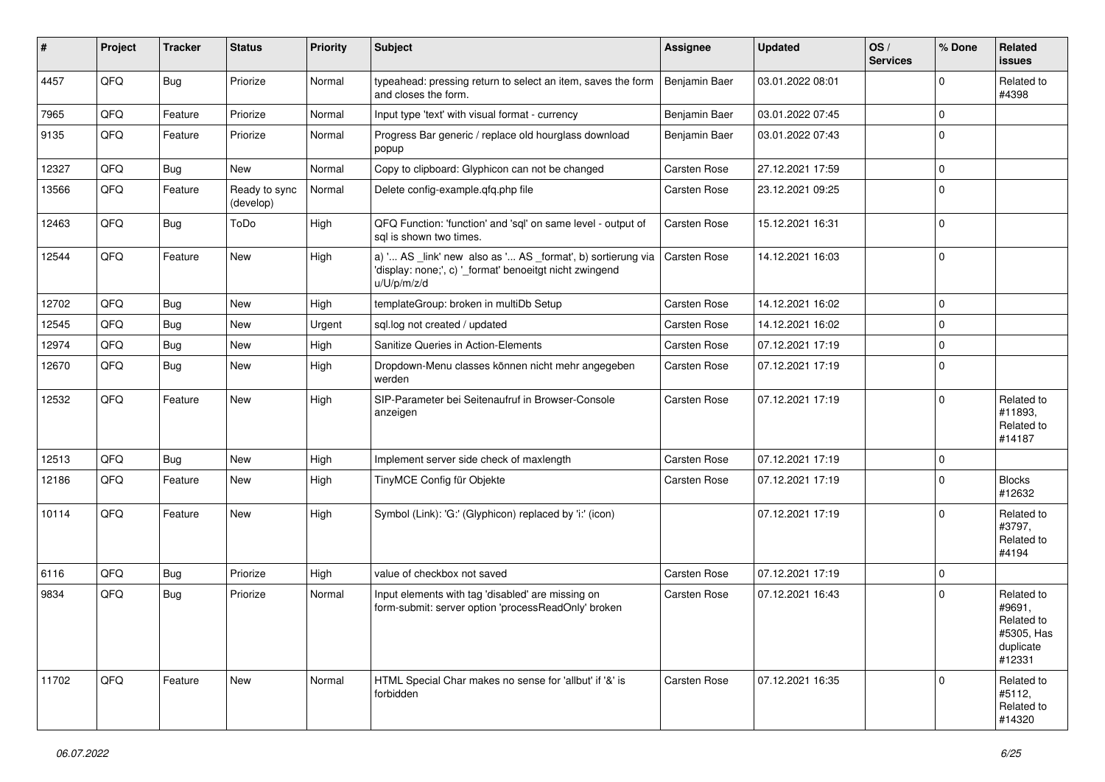| #     | Project | <b>Tracker</b> | <b>Status</b>              | <b>Priority</b> | <b>Subject</b>                                                                                                                        | <b>Assignee</b>     | <b>Updated</b>   | OS/<br><b>Services</b> | % Done      | Related<br><b>issues</b>                                                |
|-------|---------|----------------|----------------------------|-----------------|---------------------------------------------------------------------------------------------------------------------------------------|---------------------|------------------|------------------------|-------------|-------------------------------------------------------------------------|
| 4457  | QFQ     | Bug            | Priorize                   | Normal          | typeahead: pressing return to select an item, saves the form<br>and closes the form.                                                  | Benjamin Baer       | 03.01.2022 08:01 |                        | $\Omega$    | Related to<br>#4398                                                     |
| 7965  | QFQ     | Feature        | Priorize                   | Normal          | Input type 'text' with visual format - currency                                                                                       | Benjamin Baer       | 03.01.2022 07:45 |                        | $\Omega$    |                                                                         |
| 9135  | QFQ     | Feature        | Priorize                   | Normal          | Progress Bar generic / replace old hourglass download<br>popup                                                                        | Benjamin Baer       | 03.01.2022 07:43 |                        | $\Omega$    |                                                                         |
| 12327 | QFQ     | Bug            | New                        | Normal          | Copy to clipboard: Glyphicon can not be changed                                                                                       | Carsten Rose        | 27.12.2021 17:59 |                        | $\Omega$    |                                                                         |
| 13566 | QFQ     | Feature        | Ready to sync<br>(develop) | Normal          | Delete config-example.qfq.php file                                                                                                    | Carsten Rose        | 23.12.2021 09:25 |                        | $\mathbf 0$ |                                                                         |
| 12463 | QFQ     | Bug            | ToDo                       | High            | QFQ Function: 'function' and 'sql' on same level - output of<br>sgl is shown two times.                                               | Carsten Rose        | 15.12.2021 16:31 |                        | 0           |                                                                         |
| 12544 | QFQ     | Feature        | New                        | High            | a) ' AS _link' new also as ' AS _format', b) sortierung via<br>'display: none;', c) '_format' benoeitgt nicht zwingend<br>u/U/p/m/z/d | Carsten Rose        | 14.12.2021 16:03 |                        | 0           |                                                                         |
| 12702 | QFQ     | <b>Bug</b>     | New                        | High            | templateGroup: broken in multiDb Setup                                                                                                | Carsten Rose        | 14.12.2021 16:02 |                        | $\Omega$    |                                                                         |
| 12545 | QFQ     | Bug            | New                        | Urgent          | sql.log not created / updated                                                                                                         | Carsten Rose        | 14.12.2021 16:02 |                        | $\Omega$    |                                                                         |
| 12974 | QFQ     | <b>Bug</b>     | New                        | High            | Sanitize Queries in Action-Elements                                                                                                   | <b>Carsten Rose</b> | 07.12.2021 17:19 |                        | 0           |                                                                         |
| 12670 | QFQ     | Bug            | <b>New</b>                 | High            | Dropdown-Menu classes können nicht mehr angegeben<br>werden                                                                           | <b>Carsten Rose</b> | 07.12.2021 17:19 |                        | 0           |                                                                         |
| 12532 | QFQ     | Feature        | <b>New</b>                 | High            | SIP-Parameter bei Seitenaufruf in Browser-Console<br>anzeigen                                                                         | Carsten Rose        | 07.12.2021 17:19 |                        | $\Omega$    | Related to<br>#11893.<br>Related to<br>#14187                           |
| 12513 | QFQ     | <b>Bug</b>     | New                        | High            | Implement server side check of maxlength                                                                                              | Carsten Rose        | 07.12.2021 17:19 |                        | $\mathbf 0$ |                                                                         |
| 12186 | QFQ     | Feature        | New                        | High            | TinyMCE Config für Objekte                                                                                                            | Carsten Rose        | 07.12.2021 17:19 |                        | $\mathbf 0$ | <b>Blocks</b><br>#12632                                                 |
| 10114 | QFQ     | Feature        | New                        | High            | Symbol (Link): 'G:' (Glyphicon) replaced by 'i:' (icon)                                                                               |                     | 07.12.2021 17:19 |                        | $\Omega$    | Related to<br>#3797,<br>Related to<br>#4194                             |
| 6116  | QFQ     | <b>Bug</b>     | Priorize                   | High            | value of checkbox not saved                                                                                                           | <b>Carsten Rose</b> | 07.12.2021 17:19 |                        | $\mathbf 0$ |                                                                         |
| 9834  | QFQ     | Bug            | Priorize                   | Normal          | Input elements with tag 'disabled' are missing on<br>form-submit: server option 'processReadOnly' broken                              | <b>Carsten Rose</b> | 07.12.2021 16:43 |                        | $\Omega$    | Related to<br>#9691,<br>Related to<br>#5305, Has<br>duplicate<br>#12331 |
| 11702 | QFQ     | Feature        | New                        | Normal          | HTML Special Char makes no sense for 'allbut' if '&' is<br>forbidden                                                                  | <b>Carsten Rose</b> | 07.12.2021 16:35 |                        | 0           | Related to<br>#5112,<br>Related to<br>#14320                            |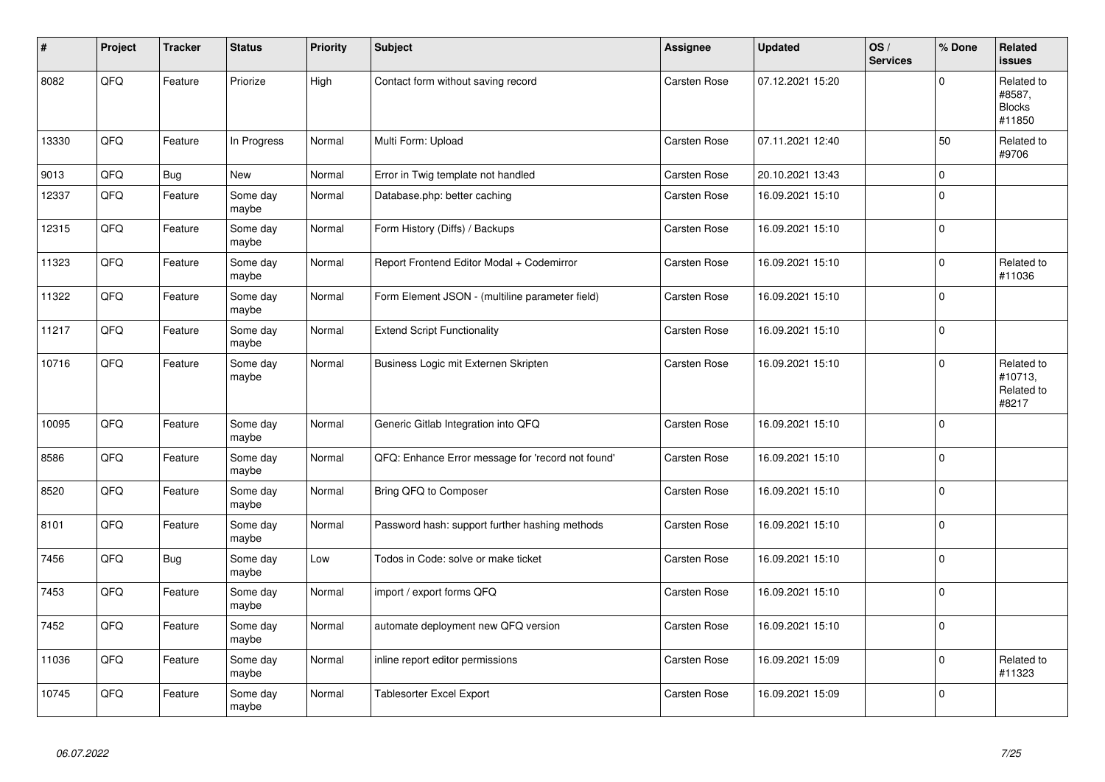| #     | Project | <b>Tracker</b> | <b>Status</b>     | <b>Priority</b> | <b>Subject</b>                                    | Assignee            | <b>Updated</b>   | OS/<br><b>Services</b> | % Done         | Related<br><b>issues</b>                        |
|-------|---------|----------------|-------------------|-----------------|---------------------------------------------------|---------------------|------------------|------------------------|----------------|-------------------------------------------------|
| 8082  | QFQ     | Feature        | Priorize          | High            | Contact form without saving record                | Carsten Rose        | 07.12.2021 15:20 |                        | $\mathbf 0$    | Related to<br>#8587,<br><b>Blocks</b><br>#11850 |
| 13330 | QFQ     | Feature        | In Progress       | Normal          | Multi Form: Upload                                | <b>Carsten Rose</b> | 07.11.2021 12:40 |                        | 50             | Related to<br>#9706                             |
| 9013  | QFO     | <b>Bug</b>     | <b>New</b>        | Normal          | Error in Twig template not handled                | Carsten Rose        | 20.10.2021 13:43 |                        | 0              |                                                 |
| 12337 | QFQ     | Feature        | Some day<br>maybe | Normal          | Database.php: better caching                      | <b>Carsten Rose</b> | 16.09.2021 15:10 |                        | 0              |                                                 |
| 12315 | QFQ     | Feature        | Some day<br>maybe | Normal          | Form History (Diffs) / Backups                    | Carsten Rose        | 16.09.2021 15:10 |                        | $\overline{0}$ |                                                 |
| 11323 | QFQ     | Feature        | Some day<br>maybe | Normal          | Report Frontend Editor Modal + Codemirror         | Carsten Rose        | 16.09.2021 15:10 |                        | $\mathbf 0$    | Related to<br>#11036                            |
| 11322 | QFQ     | Feature        | Some day<br>maybe | Normal          | Form Element JSON - (multiline parameter field)   | Carsten Rose        | 16.09.2021 15:10 |                        | $\mathbf 0$    |                                                 |
| 11217 | QFQ     | Feature        | Some day<br>maybe | Normal          | <b>Extend Script Functionality</b>                | Carsten Rose        | 16.09.2021 15:10 |                        | 0              |                                                 |
| 10716 | QFQ     | Feature        | Some day<br>maybe | Normal          | Business Logic mit Externen Skripten              | <b>Carsten Rose</b> | 16.09.2021 15:10 |                        | 0              | Related to<br>#10713,<br>Related to<br>#8217    |
| 10095 | QFQ     | Feature        | Some day<br>maybe | Normal          | Generic Gitlab Integration into QFQ               | <b>Carsten Rose</b> | 16.09.2021 15:10 |                        | $\mathbf 0$    |                                                 |
| 8586  | QFQ     | Feature        | Some day<br>maybe | Normal          | QFQ: Enhance Error message for 'record not found' | Carsten Rose        | 16.09.2021 15:10 |                        | 0              |                                                 |
| 8520  | QFQ     | Feature        | Some day<br>maybe | Normal          | Bring QFQ to Composer                             | Carsten Rose        | 16.09.2021 15:10 |                        | $\mathbf 0$    |                                                 |
| 8101  | QFQ     | Feature        | Some day<br>maybe | Normal          | Password hash: support further hashing methods    | Carsten Rose        | 16.09.2021 15:10 |                        | $\mathbf 0$    |                                                 |
| 7456  | QFO     | <b>Bug</b>     | Some day<br>maybe | Low             | Todos in Code: solve or make ticket               | Carsten Rose        | 16.09.2021 15:10 |                        | $\overline{0}$ |                                                 |
| 7453  | QFQ     | Feature        | Some day<br>maybe | Normal          | import / export forms QFQ                         | Carsten Rose        | 16.09.2021 15:10 |                        | 0              |                                                 |
| 7452  | QFQ     | Feature        | Some day<br>maybe | Normal          | automate deployment new QFQ version               | Carsten Rose        | 16.09.2021 15:10 |                        | $\mathbf 0$    |                                                 |
| 11036 | QFQ     | Feature        | Some day<br>maybe | Normal          | inline report editor permissions                  | Carsten Rose        | 16.09.2021 15:09 |                        | $\mathbf 0$    | Related to<br>#11323                            |
| 10745 | QFQ     | Feature        | Some day<br>maybe | Normal          | Tablesorter Excel Export                          | Carsten Rose        | 16.09.2021 15:09 |                        | $\mathbf 0$    |                                                 |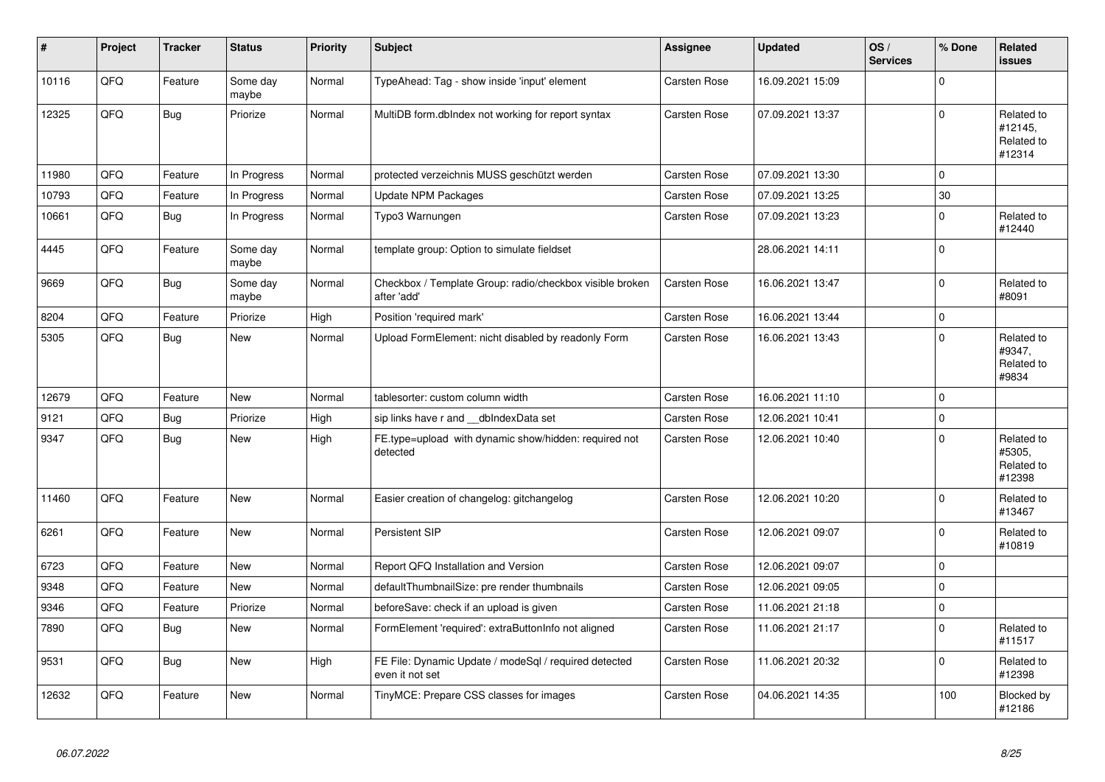| #     | Project | <b>Tracker</b> | <b>Status</b>     | <b>Priority</b> | <b>Subject</b>                                                           | <b>Assignee</b>     | <b>Updated</b>   | OS/<br><b>Services</b> | % Done      | <b>Related</b><br><b>issues</b>               |
|-------|---------|----------------|-------------------|-----------------|--------------------------------------------------------------------------|---------------------|------------------|------------------------|-------------|-----------------------------------------------|
| 10116 | QFQ     | Feature        | Some day<br>maybe | Normal          | TypeAhead: Tag - show inside 'input' element                             | Carsten Rose        | 16.09.2021 15:09 |                        | $\mathbf 0$ |                                               |
| 12325 | QFQ     | <b>Bug</b>     | Priorize          | Normal          | MultiDB form.dblndex not working for report syntax                       | Carsten Rose        | 07.09.2021 13:37 |                        | $\Omega$    | Related to<br>#12145,<br>Related to<br>#12314 |
| 11980 | QFQ     | Feature        | In Progress       | Normal          | protected verzeichnis MUSS geschützt werden                              | Carsten Rose        | 07.09.2021 13:30 |                        | 0           |                                               |
| 10793 | QFQ     | Feature        | In Progress       | Normal          | Update NPM Packages                                                      | Carsten Rose        | 07.09.2021 13:25 |                        | 30          |                                               |
| 10661 | QFQ     | Bug            | In Progress       | Normal          | Typo3 Warnungen                                                          | <b>Carsten Rose</b> | 07.09.2021 13:23 |                        | 0           | Related to<br>#12440                          |
| 4445  | QFQ     | Feature        | Some day<br>maybe | Normal          | template group: Option to simulate fieldset                              |                     | 28.06.2021 14:11 |                        | $\Omega$    |                                               |
| 9669  | QFQ     | <b>Bug</b>     | Some day<br>maybe | Normal          | Checkbox / Template Group: radio/checkbox visible broken<br>after 'add'  | Carsten Rose        | 16.06.2021 13:47 |                        | $\mathbf 0$ | Related to<br>#8091                           |
| 8204  | QFQ     | Feature        | Priorize          | High            | Position 'required mark'                                                 | <b>Carsten Rose</b> | 16.06.2021 13:44 |                        | $\mathbf 0$ |                                               |
| 5305  | QFQ     | <b>Bug</b>     | <b>New</b>        | Normal          | Upload FormElement: nicht disabled by readonly Form                      | <b>Carsten Rose</b> | 16.06.2021 13:43 |                        | $\mathbf 0$ | Related to<br>#9347,<br>Related to<br>#9834   |
| 12679 | QFQ     | Feature        | <b>New</b>        | Normal          | tablesorter: custom column width                                         | Carsten Rose        | 16.06.2021 11:10 |                        | $\Omega$    |                                               |
| 9121  | QFQ     | <b>Bug</b>     | Priorize          | High            | sip links have r and __dbIndexData set                                   | Carsten Rose        | 12.06.2021 10:41 |                        | $\mathbf 0$ |                                               |
| 9347  | QFQ     | <b>Bug</b>     | <b>New</b>        | High            | FE.type=upload with dynamic show/hidden: required not<br>detected        | <b>Carsten Rose</b> | 12.06.2021 10:40 |                        | $\Omega$    | Related to<br>#5305,<br>Related to<br>#12398  |
| 11460 | QFQ     | Feature        | <b>New</b>        | Normal          | Easier creation of changelog: gitchangelog                               | <b>Carsten Rose</b> | 12.06.2021 10:20 |                        | $\Omega$    | Related to<br>#13467                          |
| 6261  | QFQ     | Feature        | <b>New</b>        | Normal          | Persistent SIP                                                           | <b>Carsten Rose</b> | 12.06.2021 09:07 |                        | 0           | Related to<br>#10819                          |
| 6723  | QFQ     | Feature        | <b>New</b>        | Normal          | Report QFQ Installation and Version                                      | Carsten Rose        | 12.06.2021 09:07 |                        | 0           |                                               |
| 9348  | QFQ     | Feature        | <b>New</b>        | Normal          | defaultThumbnailSize: pre render thumbnails                              | Carsten Rose        | 12.06.2021 09:05 |                        | $\Omega$    |                                               |
| 9346  | QFQ     | Feature        | Priorize          | Normal          | beforeSave: check if an upload is given                                  | Carsten Rose        | 11.06.2021 21:18 |                        | $\mathbf 0$ |                                               |
| 7890  | QFQ     | <b>Bug</b>     | <b>New</b>        | Normal          | FormElement 'required': extraButtonInfo not aligned                      | <b>Carsten Rose</b> | 11.06.2021 21:17 |                        | $\Omega$    | Related to<br>#11517                          |
| 9531  | QFQ     | <b>Bug</b>     | <b>New</b>        | High            | FE File: Dynamic Update / modeSql / required detected<br>even it not set | Carsten Rose        | 11.06.2021 20:32 |                        | $\mathbf 0$ | Related to<br>#12398                          |
| 12632 | QFQ     | Feature        | New               | Normal          | TinyMCE: Prepare CSS classes for images                                  | <b>Carsten Rose</b> | 04.06.2021 14:35 |                        | 100         | Blocked by<br>#12186                          |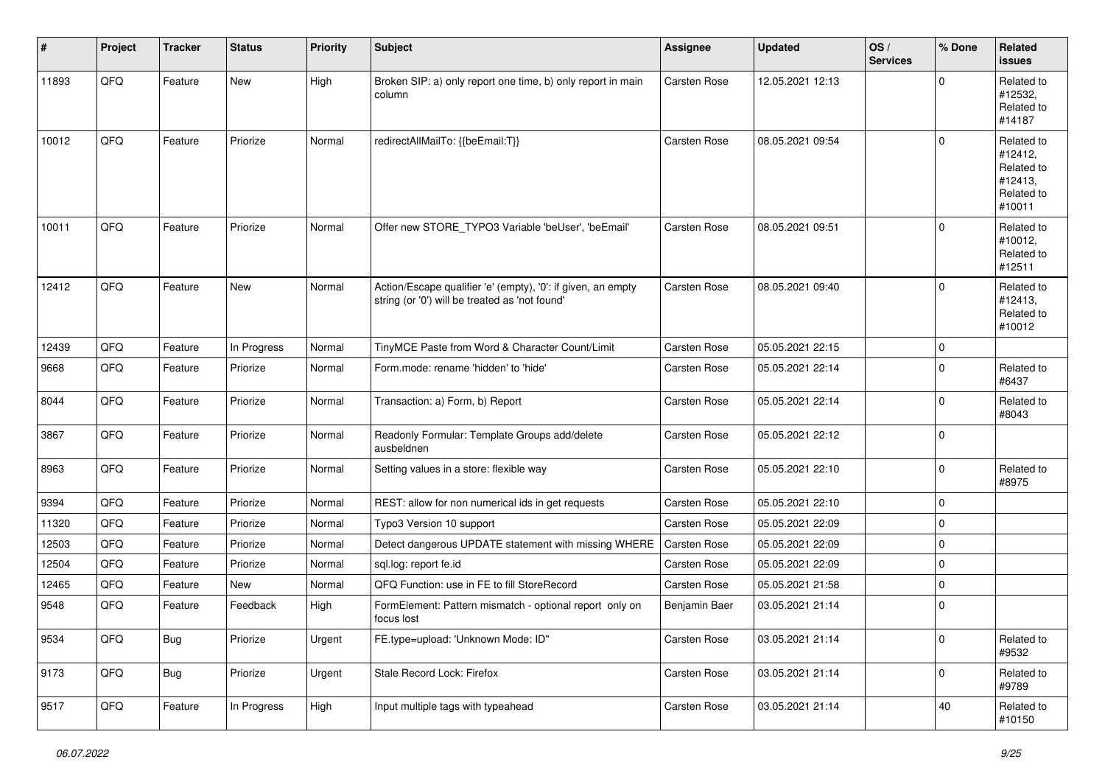| #     | Project | <b>Tracker</b> | <b>Status</b> | <b>Priority</b> | <b>Subject</b>                                                                                                 | Assignee            | <b>Updated</b>   | OS/<br><b>Services</b> | % Done              | Related<br><b>issues</b>                                               |
|-------|---------|----------------|---------------|-----------------|----------------------------------------------------------------------------------------------------------------|---------------------|------------------|------------------------|---------------------|------------------------------------------------------------------------|
| 11893 | QFQ     | Feature        | New           | High            | Broken SIP: a) only report one time, b) only report in main<br>column                                          | <b>Carsten Rose</b> | 12.05.2021 12:13 |                        | 0                   | Related to<br>#12532,<br>Related to<br>#14187                          |
| 10012 | QFQ     | Feature        | Priorize      | Normal          | redirectAllMailTo: {{beEmail:T}}                                                                               | Carsten Rose        | 08.05.2021 09:54 |                        | $\Omega$            | Related to<br>#12412,<br>Related to<br>#12413,<br>Related to<br>#10011 |
| 10011 | QFQ     | Feature        | Priorize      | Normal          | Offer new STORE_TYPO3 Variable 'beUser', 'beEmail'                                                             | <b>Carsten Rose</b> | 08.05.2021 09:51 |                        | $\mathbf 0$         | Related to<br>#10012,<br>Related to<br>#12511                          |
| 12412 | QFQ     | Feature        | <b>New</b>    | Normal          | Action/Escape qualifier 'e' (empty), '0': if given, an empty<br>string (or '0') will be treated as 'not found' | <b>Carsten Rose</b> | 08.05.2021 09:40 |                        | $\mathbf 0$         | Related to<br>#12413,<br>Related to<br>#10012                          |
| 12439 | QFQ     | Feature        | In Progress   | Normal          | TinyMCE Paste from Word & Character Count/Limit                                                                | <b>Carsten Rose</b> | 05.05.2021 22:15 |                        | $\mathbf 0$         |                                                                        |
| 9668  | QFQ     | Feature        | Priorize      | Normal          | Form.mode: rename 'hidden' to 'hide'                                                                           | Carsten Rose        | 05.05.2021 22:14 |                        | 0                   | Related to<br>#6437                                                    |
| 8044  | QFQ     | Feature        | Priorize      | Normal          | Transaction: a) Form, b) Report                                                                                | Carsten Rose        | 05.05.2021 22:14 |                        | 0                   | Related to<br>#8043                                                    |
| 3867  | QFQ     | Feature        | Priorize      | Normal          | Readonly Formular: Template Groups add/delete<br>ausbeldnen                                                    | <b>Carsten Rose</b> | 05.05.2021 22:12 |                        | 0                   |                                                                        |
| 8963  | QFQ     | Feature        | Priorize      | Normal          | Setting values in a store: flexible way                                                                        | <b>Carsten Rose</b> | 05.05.2021 22:10 |                        | $\mathbf{0}$        | Related to<br>#8975                                                    |
| 9394  | QFQ     | Feature        | Priorize      | Normal          | REST: allow for non numerical ids in get requests                                                              | <b>Carsten Rose</b> | 05.05.2021 22:10 |                        | 0                   |                                                                        |
| 11320 | QFQ     | Feature        | Priorize      | Normal          | Typo3 Version 10 support                                                                                       | Carsten Rose        | 05.05.2021 22:09 |                        | 0                   |                                                                        |
| 12503 | QFQ     | Feature        | Priorize      | Normal          | Detect dangerous UPDATE statement with missing WHERE                                                           | <b>Carsten Rose</b> | 05.05.2021 22:09 |                        | 0                   |                                                                        |
| 12504 | QFQ     | Feature        | Priorize      | Normal          | sql.log: report fe.id                                                                                          | Carsten Rose        | 05.05.2021 22:09 |                        | $\mathbf 0$         |                                                                        |
| 12465 | QFQ     | Feature        | New           | Normal          | QFQ Function: use in FE to fill StoreRecord                                                                    | <b>Carsten Rose</b> | 05.05.2021 21:58 |                        | $\mathbf 0$         |                                                                        |
| 9548  | QFQ     | Feature        | Feedback      | High            | FormElement: Pattern mismatch - optional report only on<br>focus lost                                          | Benjamin Baer       | 03.05.2021 21:14 |                        | 0                   |                                                                        |
| 9534  | QFQ     | Bug            | Priorize      | Urgent          | FE.type=upload: 'Unknown Mode: ID"                                                                             | Carsten Rose        | 03.05.2021 21:14 |                        | $\mathsf 0$         | Related to<br>#9532                                                    |
| 9173  | QFQ     | Bug            | Priorize      | Urgent          | Stale Record Lock: Firefox                                                                                     | Carsten Rose        | 03.05.2021 21:14 |                        | $\mathsf{O}\xspace$ | Related to<br>#9789                                                    |
| 9517  | QFQ     | Feature        | In Progress   | High            | Input multiple tags with typeahead                                                                             | Carsten Rose        | 03.05.2021 21:14 |                        | 40                  | Related to<br>#10150                                                   |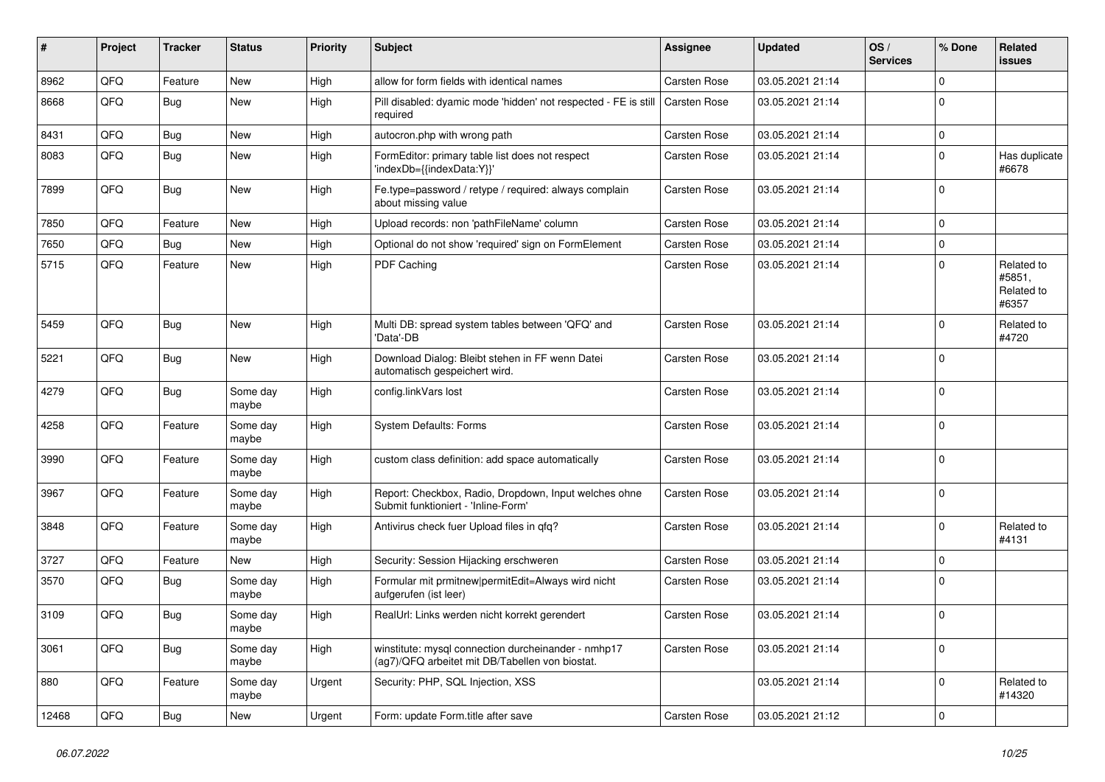| #     | Project        | <b>Tracker</b> | <b>Status</b>     | <b>Priority</b> | <b>Subject</b>                                                                                         | <b>Assignee</b>     | <b>Updated</b>   | OS/<br><b>Services</b> | % Done      | Related<br>issues                           |
|-------|----------------|----------------|-------------------|-----------------|--------------------------------------------------------------------------------------------------------|---------------------|------------------|------------------------|-------------|---------------------------------------------|
| 8962  | QFQ            | Feature        | <b>New</b>        | High            | allow for form fields with identical names                                                             | Carsten Rose        | 03.05.2021 21:14 |                        | 0           |                                             |
| 8668  | QFQ            | Bug            | <b>New</b>        | High            | Pill disabled: dyamic mode 'hidden' not respected - FE is still<br>required                            | Carsten Rose        | 03.05.2021 21:14 |                        | $\Omega$    |                                             |
| 8431  | QFQ            | <b>Bug</b>     | New               | High            | autocron.php with wrong path                                                                           | Carsten Rose        | 03.05.2021 21:14 |                        | 0           |                                             |
| 8083  | QFQ            | <b>Bug</b>     | <b>New</b>        | High            | FormEditor: primary table list does not respect<br>'indexDb={{indexData:Y}}'                           | Carsten Rose        | 03.05.2021 21:14 |                        | $\mathbf 0$ | Has duplicate<br>#6678                      |
| 7899  | QFQ            | Bug            | <b>New</b>        | High            | Fe.type=password / retype / required: always complain<br>about missing value                           | Carsten Rose        | 03.05.2021 21:14 |                        | $\mathbf 0$ |                                             |
| 7850  | QFQ            | Feature        | <b>New</b>        | High            | Upload records: non 'pathFileName' column                                                              | <b>Carsten Rose</b> | 03.05.2021 21:14 |                        | $\mathbf 0$ |                                             |
| 7650  | QFQ            | Bug            | <b>New</b>        | High            | Optional do not show 'required' sign on FormElement                                                    | Carsten Rose        | 03.05.2021 21:14 |                        | $\mathbf 0$ |                                             |
| 5715  | QFQ            | Feature        | New               | High            | PDF Caching                                                                                            | Carsten Rose        | 03.05.2021 21:14 |                        | $\mathbf 0$ | Related to<br>#5851,<br>Related to<br>#6357 |
| 5459  | QFQ            | <b>Bug</b>     | New               | High            | Multi DB: spread system tables between 'QFQ' and<br>'Data'-DB                                          | Carsten Rose        | 03.05.2021 21:14 |                        | $\Omega$    | Related to<br>#4720                         |
| 5221  | QFQ            | Bug            | <b>New</b>        | High            | Download Dialog: Bleibt stehen in FF wenn Datei<br>automatisch gespeichert wird.                       | <b>Carsten Rose</b> | 03.05.2021 21:14 |                        | $\Omega$    |                                             |
| 4279  | QFQ            | Bug            | Some day<br>maybe | High            | config.linkVars lost                                                                                   | Carsten Rose        | 03.05.2021 21:14 |                        | $\Omega$    |                                             |
| 4258  | QFQ            | Feature        | Some day<br>maybe | High            | <b>System Defaults: Forms</b>                                                                          | <b>Carsten Rose</b> | 03.05.2021 21:14 |                        | 0           |                                             |
| 3990  | QFQ            | Feature        | Some day<br>maybe | High            | custom class definition: add space automatically                                                       | Carsten Rose        | 03.05.2021 21:14 |                        | $\mathbf 0$ |                                             |
| 3967  | QFQ            | Feature        | Some day<br>maybe | High            | Report: Checkbox, Radio, Dropdown, Input welches ohne<br>Submit funktioniert - 'Inline-Form'           | Carsten Rose        | 03.05.2021 21:14 |                        | $\mathbf 0$ |                                             |
| 3848  | QFQ            | Feature        | Some day<br>maybe | High            | Antivirus check fuer Upload files in qfq?                                                              | Carsten Rose        | 03.05.2021 21:14 |                        | $\Omega$    | Related to<br>#4131                         |
| 3727  | QFQ            | Feature        | <b>New</b>        | High            | Security: Session Hijacking erschweren                                                                 | Carsten Rose        | 03.05.2021 21:14 |                        | $\Omega$    |                                             |
| 3570  | QFQ            | Bug            | Some day<br>maybe | High            | Formular mit prmitnew permitEdit=Always wird nicht<br>aufgerufen (ist leer)                            | Carsten Rose        | 03.05.2021 21:14 |                        | $\Omega$    |                                             |
| 3109  | QFQ            | <b>Bug</b>     | Some day<br>maybe | High            | RealUrl: Links werden nicht korrekt gerendert                                                          | Carsten Rose        | 03.05.2021 21:14 |                        | $\mathbf 0$ |                                             |
| 3061  | QFQ            | Bug            | Some day<br>maybe | High            | winstitute: mysql connection durcheinander - nmhp17<br>(ag7)/QFQ arbeitet mit DB/Tabellen von biostat. | Carsten Rose        | 03.05.2021 21:14 |                        | $\pmb{0}$   |                                             |
| 880   | QFQ            | Feature        | Some day<br>maybe | Urgent          | Security: PHP, SQL Injection, XSS                                                                      |                     | 03.05.2021 21:14 |                        | $\pmb{0}$   | Related to<br>#14320                        |
| 12468 | $\mathsf{QFQ}$ | Bug            | New               | Urgent          | Form: update Form.title after save                                                                     | Carsten Rose        | 03.05.2021 21:12 |                        | $\pmb{0}$   |                                             |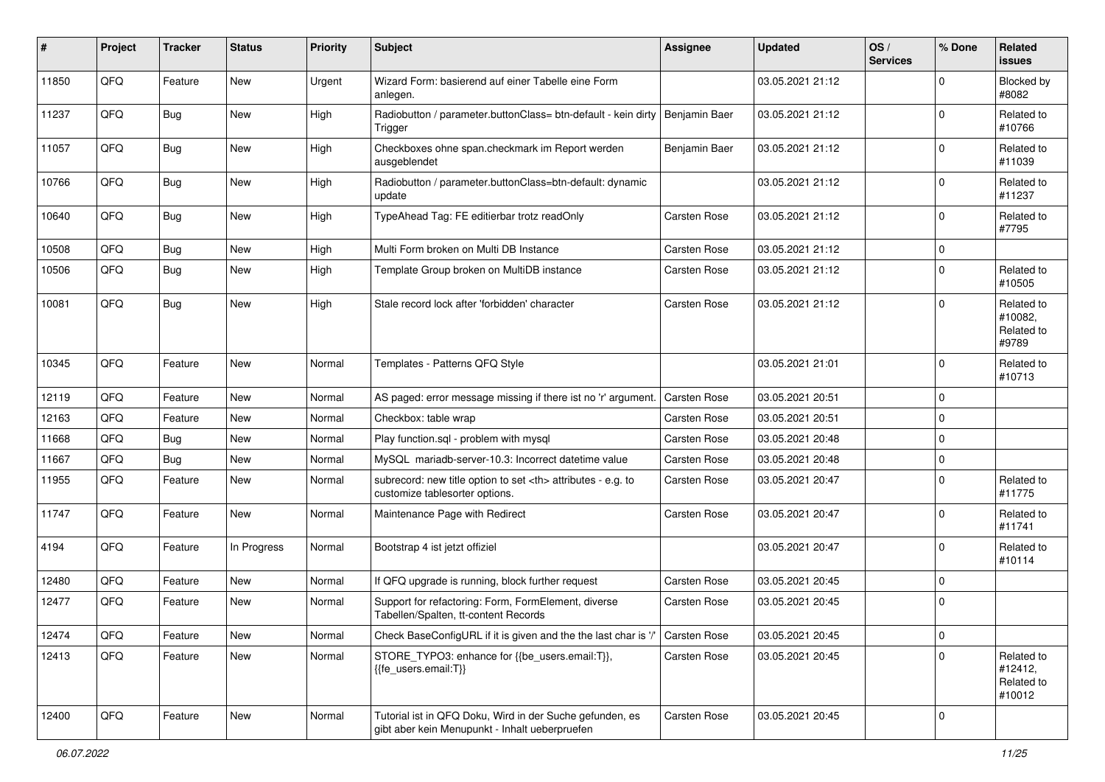| $\#$  | Project | <b>Tracker</b> | <b>Status</b> | Priority | <b>Subject</b>                                                                                             | <b>Assignee</b>                                        | <b>Updated</b>   | OS/<br><b>Services</b> | % Done         | <b>Related</b><br><b>issues</b>               |                      |
|-------|---------|----------------|---------------|----------|------------------------------------------------------------------------------------------------------------|--------------------------------------------------------|------------------|------------------------|----------------|-----------------------------------------------|----------------------|
| 11850 | QFQ     | Feature        | <b>New</b>    | Urgent   | Wizard Form: basierend auf einer Tabelle eine Form<br>anlegen.                                             |                                                        | 03.05.2021 21:12 |                        | 0              | Blocked by<br>#8082                           |                      |
| 11237 | QFQ     | Bug            | New           | High     | Radiobutton / parameter.buttonClass= btn-default - kein dirty<br>Trigger                                   | Benjamin Baer                                          | 03.05.2021 21:12 |                        | 0              | Related to<br>#10766                          |                      |
| 11057 | QFQ     | Bug            | New           | High     | Checkboxes ohne span.checkmark im Report werden<br>ausgeblendet                                            | Benjamin Baer                                          | 03.05.2021 21:12 |                        | $\Omega$       | Related to<br>#11039                          |                      |
| 10766 | QFQ     | Bug            | <b>New</b>    | High     | Radiobutton / parameter.buttonClass=btn-default: dynamic<br>update                                         |                                                        | 03.05.2021 21:12 |                        | $\mathbf 0$    | Related to<br>#11237                          |                      |
| 10640 | QFQ     | Bug            | New           | High     | TypeAhead Tag: FE editierbar trotz readOnly                                                                | Carsten Rose                                           | 03.05.2021 21:12 |                        | $\mathbf 0$    | Related to<br>#7795                           |                      |
| 10508 | QFQ     | Bug            | New           | High     | Multi Form broken on Multi DB Instance                                                                     | Carsten Rose                                           | 03.05.2021 21:12 |                        | 0              |                                               |                      |
| 10506 | QFQ     | Bug            | New           | High     | Template Group broken on MultiDB instance                                                                  | Carsten Rose                                           | 03.05.2021 21:12 |                        | 0              | Related to<br>#10505                          |                      |
| 10081 | QFQ     | Bug            | New           | High     | Stale record lock after 'forbidden' character                                                              | <b>Carsten Rose</b>                                    | 03.05.2021 21:12 |                        | $\Omega$       | Related to<br>#10082,<br>Related to<br>#9789  |                      |
| 10345 | QFQ     | Feature        | New           | Normal   | Templates - Patterns QFQ Style                                                                             |                                                        | 03.05.2021 21:01 |                        | 0              | Related to<br>#10713                          |                      |
| 12119 | QFQ     | Feature        | New           | Normal   | AS paged: error message missing if there ist no 'r' argument.                                              | <b>Carsten Rose</b>                                    | 03.05.2021 20:51 |                        | $\mathbf 0$    |                                               |                      |
| 12163 | QFQ     | Feature        | New           | Normal   | Checkbox: table wrap                                                                                       | Carsten Rose                                           | 03.05.2021 20:51 |                        | 0              |                                               |                      |
| 11668 | QFQ     | <b>Bug</b>     | New           | Normal   | Play function.sql - problem with mysql                                                                     | Carsten Rose                                           | 03.05.2021 20:48 |                        | 0              |                                               |                      |
| 11667 | QFQ     | Bug            | New           | Normal   | MySQL mariadb-server-10.3: Incorrect datetime value                                                        | Carsten Rose                                           | 03.05.2021 20:48 |                        | 0              |                                               |                      |
| 11955 | QFQ     | Feature        | New           | Normal   | subrecord: new title option to set <th> attributes - e.g. to<br/>customize tablesorter options.</th>       | attributes - e.g. to<br>customize tablesorter options. | Carsten Rose     | 03.05.2021 20:47       |                | 0                                             | Related to<br>#11775 |
| 11747 | QFQ     | Feature        | New           | Normal   | Maintenance Page with Redirect                                                                             | Carsten Rose                                           | 03.05.2021 20:47 |                        | 0              | Related to<br>#11741                          |                      |
| 4194  | QFQ     | Feature        | In Progress   | Normal   | Bootstrap 4 ist jetzt offiziel                                                                             |                                                        | 03.05.2021 20:47 |                        | 0              | Related to<br>#10114                          |                      |
| 12480 | QFQ     | Feature        | New           | Normal   | If QFQ upgrade is running, block further request                                                           | Carsten Rose                                           | 03.05.2021 20:45 |                        | 0              |                                               |                      |
| 12477 | QFQ     | Feature        | New           | Normal   | Support for refactoring: Form, FormElement, diverse<br>Tabellen/Spalten, tt-content Records                | Carsten Rose                                           | 03.05.2021 20:45 |                        | $\mathbf 0$    |                                               |                      |
| 12474 | QFG     | Feature        | <b>New</b>    | Normal   | Check BaseConfigURL if it is given and the the last char is '/'                                            | Carsten Rose                                           | 03.05.2021 20:45 |                        | $\pmb{0}$      |                                               |                      |
| 12413 | QFQ     | Feature        | New           | Normal   | STORE_TYPO3: enhance for {{be_users.email:T}},<br>{{fe users.email:T}}                                     | Carsten Rose                                           | 03.05.2021 20:45 |                        | $\overline{0}$ | Related to<br>#12412,<br>Related to<br>#10012 |                      |
| 12400 | QFQ     | Feature        | New           | Normal   | Tutorial ist in QFQ Doku, Wird in der Suche gefunden, es<br>gibt aber kein Menupunkt - Inhalt ueberpruefen | Carsten Rose                                           | 03.05.2021 20:45 |                        | 0              |                                               |                      |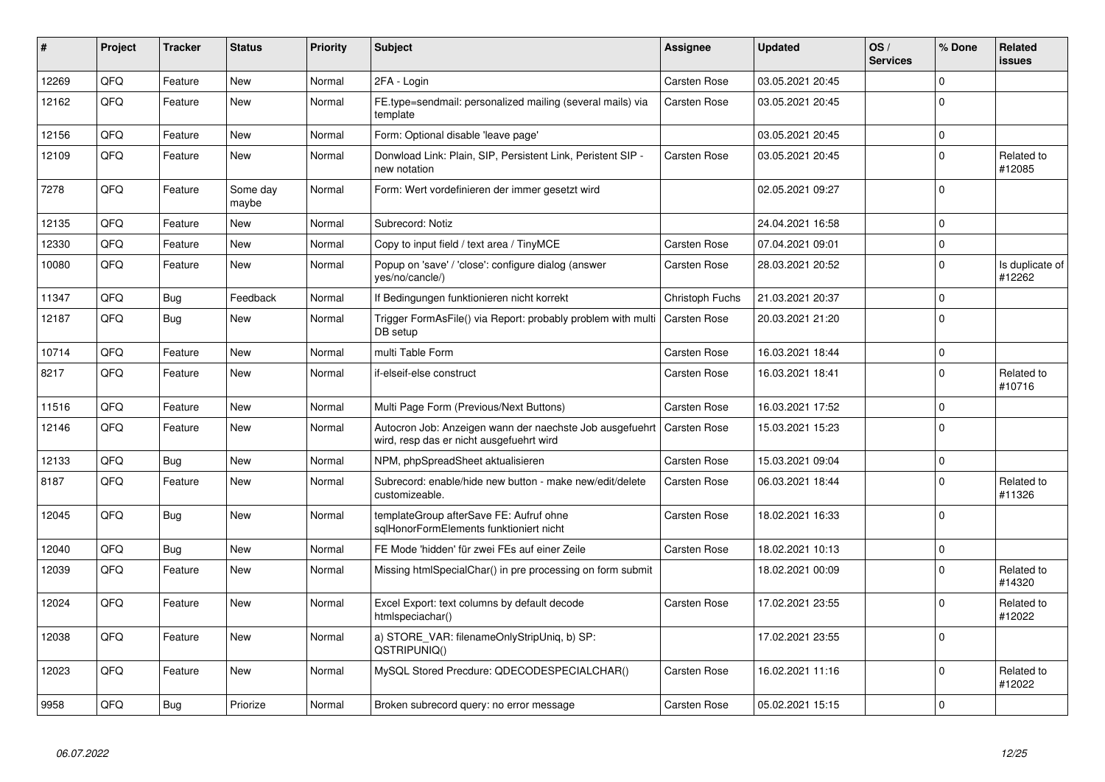| #     | Project | <b>Tracker</b> | <b>Status</b>     | <b>Priority</b> | <b>Subject</b>                                                                                       | Assignee            | <b>Updated</b>   | OS/<br><b>Services</b> | % Done      | <b>Related</b><br><b>issues</b> |
|-------|---------|----------------|-------------------|-----------------|------------------------------------------------------------------------------------------------------|---------------------|------------------|------------------------|-------------|---------------------------------|
| 12269 | QFQ     | Feature        | <b>New</b>        | Normal          | 2FA - Login                                                                                          | <b>Carsten Rose</b> | 03.05.2021 20:45 |                        | $\Omega$    |                                 |
| 12162 | QFQ     | Feature        | <b>New</b>        | Normal          | FE.type=sendmail: personalized mailing (several mails) via<br>template                               | Carsten Rose        | 03.05.2021 20:45 |                        | $\Omega$    |                                 |
| 12156 | QFQ     | Feature        | <b>New</b>        | Normal          | Form: Optional disable 'leave page'                                                                  |                     | 03.05.2021 20:45 |                        | $\Omega$    |                                 |
| 12109 | QFQ     | Feature        | <b>New</b>        | Normal          | Donwload Link: Plain, SIP, Persistent Link, Peristent SIP -<br>new notation                          | Carsten Rose        | 03.05.2021 20:45 |                        | $\mathbf 0$ | Related to<br>#12085            |
| 7278  | QFQ     | Feature        | Some day<br>maybe | Normal          | Form: Wert vordefinieren der immer gesetzt wird                                                      |                     | 02.05.2021 09:27 |                        | $\Omega$    |                                 |
| 12135 | QFQ     | Feature        | <b>New</b>        | Normal          | Subrecord: Notiz                                                                                     |                     | 24.04.2021 16:58 |                        | $\Omega$    |                                 |
| 12330 | QFQ     | Feature        | <b>New</b>        | Normal          | Copy to input field / text area / TinyMCE                                                            | <b>Carsten Rose</b> | 07.04.2021 09:01 |                        | $\mathbf 0$ |                                 |
| 10080 | QFQ     | Feature        | <b>New</b>        | Normal          | Popup on 'save' / 'close': configure dialog (answer<br>yes/no/cancle/)                               | Carsten Rose        | 28.03.2021 20:52 |                        | $\Omega$    | Is duplicate of<br>#12262       |
| 11347 | QFQ     | <b>Bug</b>     | Feedback          | Normal          | If Bedingungen funktionieren nicht korrekt                                                           | Christoph Fuchs     | 21.03.2021 20:37 |                        | $\Omega$    |                                 |
| 12187 | QFQ     | Bug            | <b>New</b>        | Normal          | Trigger FormAsFile() via Report: probably problem with multi<br>DB setup                             | <b>Carsten Rose</b> | 20.03.2021 21:20 |                        | $\Omega$    |                                 |
| 10714 | QFQ     | Feature        | <b>New</b>        | Normal          | multi Table Form                                                                                     | <b>Carsten Rose</b> | 16.03.2021 18:44 |                        | $\mathbf 0$ |                                 |
| 8217  | QFQ     | Feature        | <b>New</b>        | Normal          | if-elseif-else construct                                                                             | Carsten Rose        | 16.03.2021 18:41 |                        | $\Omega$    | Related to<br>#10716            |
| 11516 | QFQ     | Feature        | <b>New</b>        | Normal          | Multi Page Form (Previous/Next Buttons)                                                              | <b>Carsten Rose</b> | 16.03.2021 17:52 |                        | $\mathbf 0$ |                                 |
| 12146 | QFQ     | Feature        | <b>New</b>        | Normal          | Autocron Job: Anzeigen wann der naechste Job ausgefuehrt<br>wird, resp das er nicht ausgefuehrt wird | <b>Carsten Rose</b> | 15.03.2021 15:23 |                        | $\Omega$    |                                 |
| 12133 | QFQ     | Bug            | <b>New</b>        | Normal          | NPM, phpSpreadSheet aktualisieren                                                                    | Carsten Rose        | 15.03.2021 09:04 |                        | $\mathbf 0$ |                                 |
| 8187  | QFQ     | Feature        | <b>New</b>        | Normal          | Subrecord: enable/hide new button - make new/edit/delete<br>customizeable.                           | Carsten Rose        | 06.03.2021 18:44 |                        | $\Omega$    | Related to<br>#11326            |
| 12045 | QFQ     | <b>Bug</b>     | <b>New</b>        | Normal          | templateGroup afterSave FE: Aufruf ohne<br>sglHonorFormElements funktioniert nicht                   | Carsten Rose        | 18.02.2021 16:33 |                        | $\Omega$    |                                 |
| 12040 | QFQ     | Bug            | <b>New</b>        | Normal          | FE Mode 'hidden' für zwei FEs auf einer Zeile                                                        | Carsten Rose        | 18.02.2021 10:13 |                        | $\mathbf 0$ |                                 |
| 12039 | QFQ     | Feature        | New               | Normal          | Missing htmlSpecialChar() in pre processing on form submit                                           |                     | 18.02.2021 00:09 |                        | $\mathbf 0$ | Related to<br>#14320            |
| 12024 | QFQ     | Feature        | New               | Normal          | Excel Export: text columns by default decode<br>htmlspeciachar()                                     | Carsten Rose        | 17.02.2021 23:55 |                        | $\mathbf 0$ | Related to<br>#12022            |
| 12038 | QFQ     | Feature        | <b>New</b>        | Normal          | a) STORE_VAR: filenameOnlyStripUniq, b) SP:<br>QSTRIPUNIQ()                                          |                     | 17.02.2021 23:55 |                        | $\Omega$    |                                 |
| 12023 | QFQ     | Feature        | <b>New</b>        | Normal          | MySQL Stored Precdure: QDECODESPECIALCHAR()                                                          | <b>Carsten Rose</b> | 16.02.2021 11:16 |                        | $\Omega$    | Related to<br>#12022            |
| 9958  | QFQ     | Bug            | Priorize          | Normal          | Broken subrecord query: no error message                                                             | <b>Carsten Rose</b> | 05.02.2021 15:15 |                        | $\mathbf 0$ |                                 |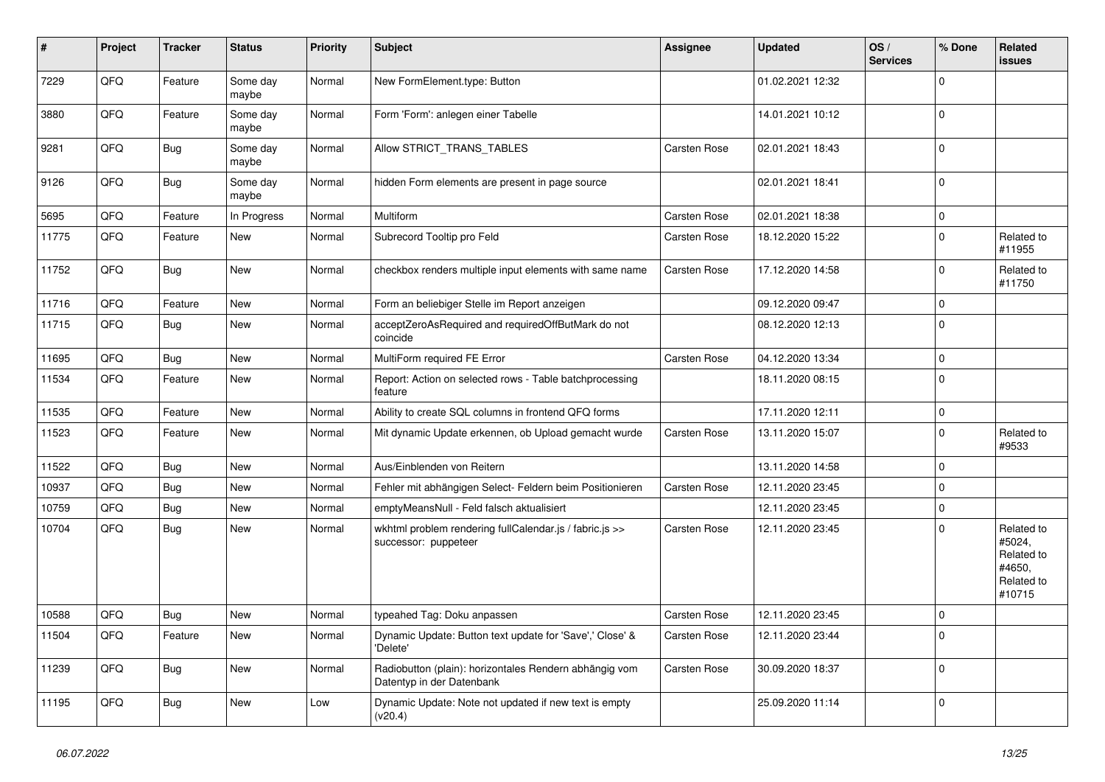| #     | Project | <b>Tracker</b> | <b>Status</b>     | <b>Priority</b> | <b>Subject</b>                                                                      | Assignee            | <b>Updated</b>   | OS/<br><b>Services</b> | % Done      | <b>Related</b><br><b>issues</b>                                      |
|-------|---------|----------------|-------------------|-----------------|-------------------------------------------------------------------------------------|---------------------|------------------|------------------------|-------------|----------------------------------------------------------------------|
| 7229  | QFQ     | Feature        | Some day<br>maybe | Normal          | New FormElement.type: Button                                                        |                     | 01.02.2021 12:32 |                        | $\Omega$    |                                                                      |
| 3880  | QFQ     | Feature        | Some day<br>maybe | Normal          | Form 'Form': anlegen einer Tabelle                                                  |                     | 14.01.2021 10:12 |                        | $\mathbf 0$ |                                                                      |
| 9281  | QFQ     | Bug            | Some day<br>maybe | Normal          | Allow STRICT_TRANS_TABLES                                                           | <b>Carsten Rose</b> | 02.01.2021 18:43 |                        | $\Omega$    |                                                                      |
| 9126  | QFQ     | Bug            | Some day<br>maybe | Normal          | hidden Form elements are present in page source                                     |                     | 02.01.2021 18:41 |                        | $\mathbf 0$ |                                                                      |
| 5695  | QFQ     | Feature        | In Progress       | Normal          | Multiform                                                                           | <b>Carsten Rose</b> | 02.01.2021 18:38 |                        | $\mathbf 0$ |                                                                      |
| 11775 | QFQ     | Feature        | New               | Normal          | Subrecord Tooltip pro Feld                                                          | <b>Carsten Rose</b> | 18.12.2020 15:22 |                        | $\mathbf 0$ | Related to<br>#11955                                                 |
| 11752 | QFQ     | Bug            | <b>New</b>        | Normal          | checkbox renders multiple input elements with same name                             | <b>Carsten Rose</b> | 17.12.2020 14:58 |                        | $\mathbf 0$ | Related to<br>#11750                                                 |
| 11716 | QFQ     | Feature        | New               | Normal          | Form an beliebiger Stelle im Report anzeigen                                        |                     | 09.12.2020 09:47 |                        | $\Omega$    |                                                                      |
| 11715 | QFQ     | Bug            | New               | Normal          | acceptZeroAsRequired and requiredOffButMark do not<br>coincide                      |                     | 08.12.2020 12:13 |                        | $\Omega$    |                                                                      |
| 11695 | QFQ     | Bug            | <b>New</b>        | Normal          | MultiForm required FE Error                                                         | Carsten Rose        | 04.12.2020 13:34 |                        | $\mathbf 0$ |                                                                      |
| 11534 | QFQ     | Feature        | New               | Normal          | Report: Action on selected rows - Table batchprocessing<br>feature                  |                     | 18.11.2020 08:15 |                        | $\mathbf 0$ |                                                                      |
| 11535 | QFQ     | Feature        | <b>New</b>        | Normal          | Ability to create SQL columns in frontend QFQ forms                                 |                     | 17.11.2020 12:11 |                        | $\pmb{0}$   |                                                                      |
| 11523 | QFQ     | Feature        | New               | Normal          | Mit dynamic Update erkennen, ob Upload gemacht wurde                                | Carsten Rose        | 13.11.2020 15:07 |                        | $\Omega$    | Related to<br>#9533                                                  |
| 11522 | QFQ     | <b>Bug</b>     | <b>New</b>        | Normal          | Aus/Einblenden von Reitern                                                          |                     | 13.11.2020 14:58 |                        | $\Omega$    |                                                                      |
| 10937 | QFQ     | Bug            | <b>New</b>        | Normal          | Fehler mit abhängigen Select- Feldern beim Positionieren                            | Carsten Rose        | 12.11.2020 23:45 |                        | $\mathbf 0$ |                                                                      |
| 10759 | QFQ     | <b>Bug</b>     | <b>New</b>        | Normal          | emptyMeansNull - Feld falsch aktualisiert                                           |                     | 12.11.2020 23:45 |                        | $\mathbf 0$ |                                                                      |
| 10704 | QFQ     | Bug            | <b>New</b>        | Normal          | wkhtml problem rendering fullCalendar.js / fabric.js >><br>successor: puppeteer     | <b>Carsten Rose</b> | 12.11.2020 23:45 |                        | $\Omega$    | Related to<br>#5024,<br>Related to<br>#4650,<br>Related to<br>#10715 |
| 10588 | QFQ     | <b>Bug</b>     | <b>New</b>        | Normal          | typeahed Tag: Doku anpassen                                                         | Carsten Rose        | 12.11.2020 23:45 |                        | $\Omega$    |                                                                      |
| 11504 | QFQ     | Feature        | New               | Normal          | Dynamic Update: Button text update for 'Save',' Close' &<br>'Delete'                | <b>Carsten Rose</b> | 12.11.2020 23:44 |                        | $\Omega$    |                                                                      |
| 11239 | QFQ     | Bug            | <b>New</b>        | Normal          | Radiobutton (plain): horizontales Rendern abhängig vom<br>Datentyp in der Datenbank | <b>Carsten Rose</b> | 30.09.2020 18:37 |                        | $\Omega$    |                                                                      |
| 11195 | QFQ     | Bug            | <b>New</b>        | Low             | Dynamic Update: Note not updated if new text is empty<br>(v20.4)                    |                     | 25.09.2020 11:14 |                        | $\mathbf 0$ |                                                                      |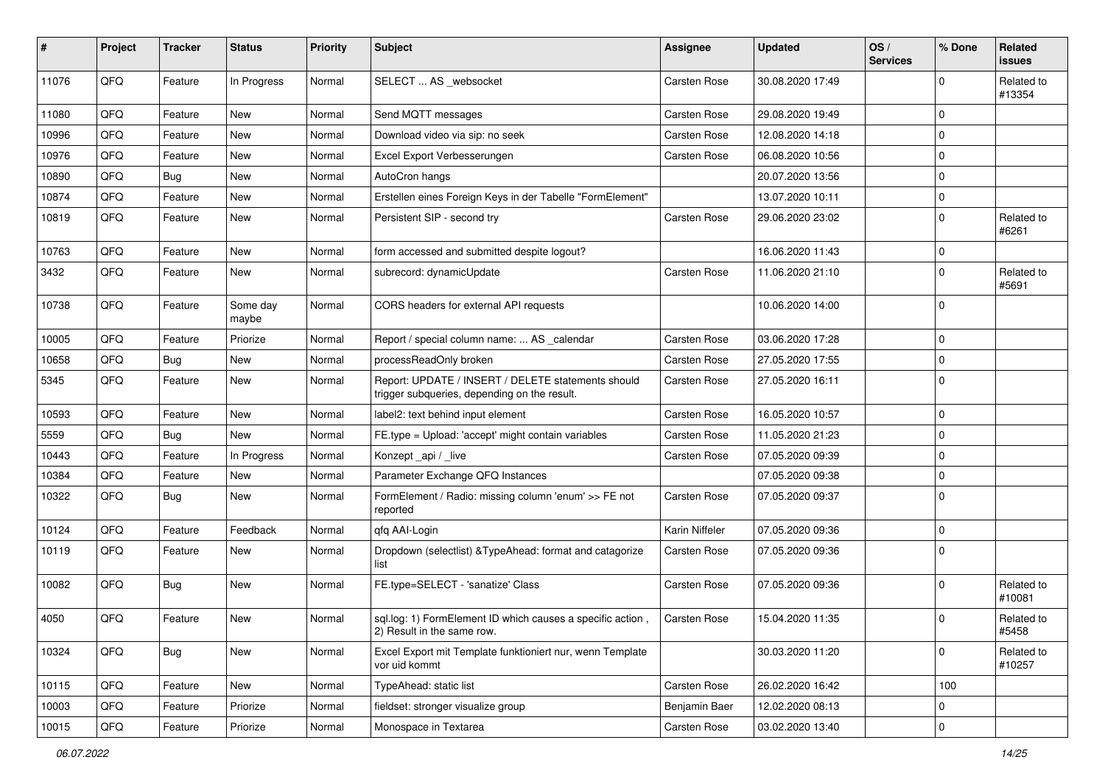| #     | <b>Project</b> | <b>Tracker</b> | <b>Status</b>     | <b>Priority</b> | Subject                                                                                            | Assignee            | <b>Updated</b>   | OS/<br><b>Services</b> | % Done      | <b>Related</b><br>issues |
|-------|----------------|----------------|-------------------|-----------------|----------------------------------------------------------------------------------------------------|---------------------|------------------|------------------------|-------------|--------------------------|
| 11076 | QFQ            | Feature        | In Progress       | Normal          | SELECT  AS _websocket                                                                              | <b>Carsten Rose</b> | 30.08.2020 17:49 |                        | $\mathbf 0$ | Related to<br>#13354     |
| 11080 | QFQ            | Feature        | New               | Normal          | Send MQTT messages                                                                                 | Carsten Rose        | 29.08.2020 19:49 |                        | $\mathbf 0$ |                          |
| 10996 | QFQ            | Feature        | <b>New</b>        | Normal          | Download video via sip: no seek                                                                    | Carsten Rose        | 12.08.2020 14:18 |                        | 0           |                          |
| 10976 | QFQ            | Feature        | New               | Normal          | Excel Export Verbesserungen                                                                        | Carsten Rose        | 06.08.2020 10:56 |                        | $\mathbf 0$ |                          |
| 10890 | QFQ            | <b>Bug</b>     | New               | Normal          | AutoCron hangs                                                                                     |                     | 20.07.2020 13:56 |                        | $\mathbf 0$ |                          |
| 10874 | QFQ            | Feature        | <b>New</b>        | Normal          | Erstellen eines Foreign Keys in der Tabelle "FormElement"                                          |                     | 13.07.2020 10:11 |                        | 0           |                          |
| 10819 | QFQ            | Feature        | New               | Normal          | Persistent SIP - second try                                                                        | Carsten Rose        | 29.06.2020 23:02 |                        | $\mathbf 0$ | Related to<br>#6261      |
| 10763 | QFQ            | Feature        | <b>New</b>        | Normal          | form accessed and submitted despite logout?                                                        |                     | 16.06.2020 11:43 |                        | 0           |                          |
| 3432  | QFQ            | Feature        | New               | Normal          | subrecord: dynamicUpdate                                                                           | <b>Carsten Rose</b> | 11.06.2020 21:10 |                        | $\Omega$    | Related to<br>#5691      |
| 10738 | QFQ            | Feature        | Some day<br>maybe | Normal          | CORS headers for external API requests                                                             |                     | 10.06.2020 14:00 |                        | $\mathbf 0$ |                          |
| 10005 | QFQ            | Feature        | Priorize          | Normal          | Report / special column name:  AS _calendar                                                        | <b>Carsten Rose</b> | 03.06.2020 17:28 |                        | 0           |                          |
| 10658 | QFQ            | Bug            | New               | Normal          | processReadOnly broken                                                                             | <b>Carsten Rose</b> | 27.05.2020 17:55 |                        | $\mathbf 0$ |                          |
| 5345  | QFQ            | Feature        | New               | Normal          | Report: UPDATE / INSERT / DELETE statements should<br>trigger subqueries, depending on the result. | <b>Carsten Rose</b> | 27.05.2020 16:11 |                        | $\mathbf 0$ |                          |
| 10593 | QFQ            | Feature        | New               | Normal          | label2: text behind input element                                                                  | Carsten Rose        | 16.05.2020 10:57 |                        | 0           |                          |
| 5559  | QFQ            | Bug            | <b>New</b>        | Normal          | FE.type = Upload: 'accept' might contain variables                                                 | Carsten Rose        | 11.05.2020 21:23 |                        | $\mathbf 0$ |                          |
| 10443 | QFQ            | Feature        | In Progress       | Normal          | Konzept api / live                                                                                 | Carsten Rose        | 07.05.2020 09:39 |                        | 0           |                          |
| 10384 | QFQ            | Feature        | New               | Normal          | Parameter Exchange QFQ Instances                                                                   |                     | 07.05.2020 09:38 |                        | $\mathbf 0$ |                          |
| 10322 | QFQ            | <b>Bug</b>     | New               | Normal          | FormElement / Radio: missing column 'enum' >> FE not<br>reported                                   | <b>Carsten Rose</b> | 07.05.2020 09:37 |                        | $\mathbf 0$ |                          |
| 10124 | QFQ            | Feature        | Feedback          | Normal          | qfq AAI-Login                                                                                      | Karin Niffeler      | 07.05.2020 09:36 |                        | 0           |                          |
| 10119 | QFQ            | Feature        | New               | Normal          | Dropdown (selectlist) & TypeAhead: format and catagorize<br>list                                   | <b>Carsten Rose</b> | 07.05.2020 09:36 |                        | $\Omega$    |                          |
| 10082 | QFQ            | Bug            | <b>New</b>        | Normal          | FE.type=SELECT - 'sanatize' Class                                                                  | <b>Carsten Rose</b> | 07.05.2020 09:36 |                        | $\Omega$    | Related to<br>#10081     |
| 4050  | QFQ            | Feature        | <b>New</b>        | Normal          | sql.log: 1) FormElement ID which causes a specific action,<br>2) Result in the same row.           | Carsten Rose        | 15.04.2020 11:35 |                        | 0           | Related to<br>#5458      |
| 10324 | QFQ            | Bug            | New               | Normal          | Excel Export mit Template funktioniert nur, wenn Template<br>vor uid kommt                         |                     | 30.03.2020 11:20 |                        | 0           | Related to<br>#10257     |
| 10115 | QFQ            | Feature        | New               | Normal          | TypeAhead: static list                                                                             | Carsten Rose        | 26.02.2020 16:42 |                        | 100         |                          |
| 10003 | QFQ            | Feature        | Priorize          | Normal          | fieldset: stronger visualize group                                                                 | Benjamin Baer       | 12.02.2020 08:13 |                        | 0           |                          |
| 10015 | QFQ            | Feature        | Priorize          | Normal          | Monospace in Textarea                                                                              | Carsten Rose        | 03.02.2020 13:40 |                        | $\pmb{0}$   |                          |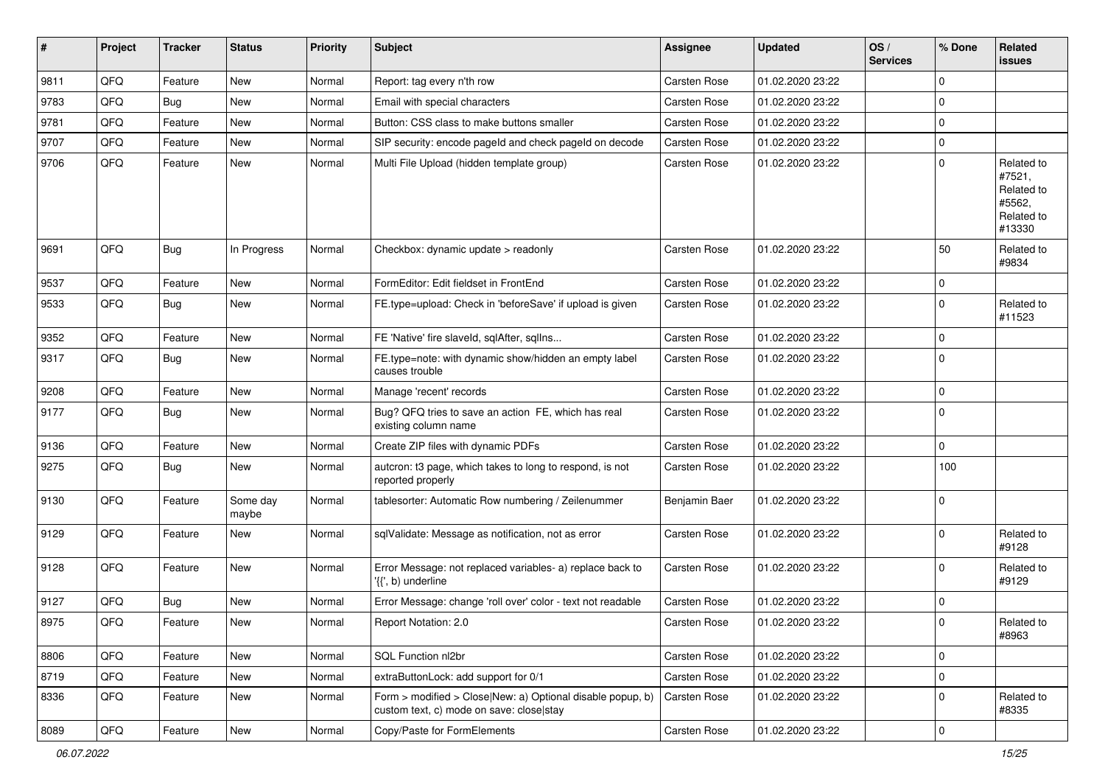| #    | Project        | <b>Tracker</b> | <b>Status</b>     | <b>Priority</b> | <b>Subject</b>                                                                                         | Assignee            | <b>Updated</b>   | OS/<br><b>Services</b> | % Done      | Related<br>issues                                                    |
|------|----------------|----------------|-------------------|-----------------|--------------------------------------------------------------------------------------------------------|---------------------|------------------|------------------------|-------------|----------------------------------------------------------------------|
| 9811 | QFQ            | Feature        | <b>New</b>        | Normal          | Report: tag every n'th row                                                                             | <b>Carsten Rose</b> | 01.02.2020 23:22 |                        | $\mathbf 0$ |                                                                      |
| 9783 | QFQ            | Bug            | <b>New</b>        | Normal          | Email with special characters                                                                          | <b>Carsten Rose</b> | 01.02.2020 23:22 |                        | $\mathbf 0$ |                                                                      |
| 9781 | QFQ            | Feature        | New               | Normal          | Button: CSS class to make buttons smaller                                                              | Carsten Rose        | 01.02.2020 23:22 |                        | 0           |                                                                      |
| 9707 | QFQ            | Feature        | New               | Normal          | SIP security: encode pageId and check pageId on decode                                                 | <b>Carsten Rose</b> | 01.02.2020 23:22 |                        | 0           |                                                                      |
| 9706 | QFQ            | Feature        | New               | Normal          | Multi File Upload (hidden template group)                                                              | <b>Carsten Rose</b> | 01.02.2020 23:22 |                        | 0           | Related to<br>#7521,<br>Related to<br>#5562,<br>Related to<br>#13330 |
| 9691 | QFQ            | <b>Bug</b>     | In Progress       | Normal          | Checkbox: dynamic update > readonly                                                                    | Carsten Rose        | 01.02.2020 23:22 |                        | 50          | Related to<br>#9834                                                  |
| 9537 | QFQ            | Feature        | <b>New</b>        | Normal          | FormEditor: Edit fieldset in FrontEnd                                                                  | <b>Carsten Rose</b> | 01.02.2020 23:22 |                        | 0           |                                                                      |
| 9533 | QFQ            | Bug            | New               | Normal          | FE.type=upload: Check in 'beforeSave' if upload is given                                               | <b>Carsten Rose</b> | 01.02.2020 23:22 |                        | $\mathbf 0$ | Related to<br>#11523                                                 |
| 9352 | QFQ            | Feature        | <b>New</b>        | Normal          | FE 'Native' fire slaveld, sqlAfter, sqlIns                                                             | <b>Carsten Rose</b> | 01.02.2020 23:22 |                        | 0           |                                                                      |
| 9317 | QFQ            | <b>Bug</b>     | New               | Normal          | FE.type=note: with dynamic show/hidden an empty label<br>causes trouble                                | Carsten Rose        | 01.02.2020 23:22 |                        | $\Omega$    |                                                                      |
| 9208 | QFQ            | Feature        | New               | Normal          | Manage 'recent' records                                                                                | <b>Carsten Rose</b> | 01.02.2020 23:22 |                        | $\mathbf 0$ |                                                                      |
| 9177 | QFQ            | Bug            | New               | Normal          | Bug? QFQ tries to save an action FE, which has real<br>existing column name                            | <b>Carsten Rose</b> | 01.02.2020 23:22 |                        | $\mathbf 0$ |                                                                      |
| 9136 | QFQ            | Feature        | New               | Normal          | Create ZIP files with dynamic PDFs                                                                     | <b>Carsten Rose</b> | 01.02.2020 23:22 |                        | 0           |                                                                      |
| 9275 | QFQ            | Bug            | <b>New</b>        | Normal          | autcron: t3 page, which takes to long to respond, is not<br>reported properly                          | <b>Carsten Rose</b> | 01.02.2020 23:22 |                        | 100         |                                                                      |
| 9130 | QFQ            | Feature        | Some day<br>maybe | Normal          | tablesorter: Automatic Row numbering / Zeilenummer                                                     | Benjamin Baer       | 01.02.2020 23:22 |                        | $\mathbf 0$ |                                                                      |
| 9129 | QFQ            | Feature        | New               | Normal          | sqlValidate: Message as notification, not as error                                                     | <b>Carsten Rose</b> | 01.02.2020 23:22 |                        | 0           | Related to<br>#9128                                                  |
| 9128 | QFQ            | Feature        | <b>New</b>        | Normal          | Error Message: not replaced variables- a) replace back to<br>'{{', b) underline                        | <b>Carsten Rose</b> | 01.02.2020 23:22 |                        | $\mathbf 0$ | Related to<br>#9129                                                  |
| 9127 | QFQ            | Bug            | New               | Normal          | Error Message: change 'roll over' color - text not readable                                            | <b>Carsten Rose</b> | 01.02.2020 23:22 |                        | 0           |                                                                      |
| 8975 | QFG            | Feature        | New               | Normal          | Report Notation: 2.0                                                                                   | Carsten Rose        | 01.02.2020 23:22 |                        | $\Omega$    | Related to<br>#8963                                                  |
| 8806 | QFQ            | Feature        | <b>New</b>        | Normal          | SQL Function nl2br                                                                                     | Carsten Rose        | 01.02.2020 23:22 |                        | $\mathbf 0$ |                                                                      |
| 8719 | QFQ            | Feature        | New               | Normal          | extraButtonLock: add support for 0/1                                                                   | Carsten Rose        | 01.02.2020 23:22 |                        | $\pmb{0}$   |                                                                      |
| 8336 | QFQ            | Feature        | New               | Normal          | Form > modified > Close New: a) Optional disable popup, b)<br>custom text, c) mode on save: close stay | Carsten Rose        | 01.02.2020 23:22 |                        | $\mathbf 0$ | Related to<br>#8335                                                  |
| 8089 | $\mathsf{QFQ}$ | Feature        | New               | Normal          | Copy/Paste for FormElements                                                                            | Carsten Rose        | 01.02.2020 23:22 |                        | $\mathbf 0$ |                                                                      |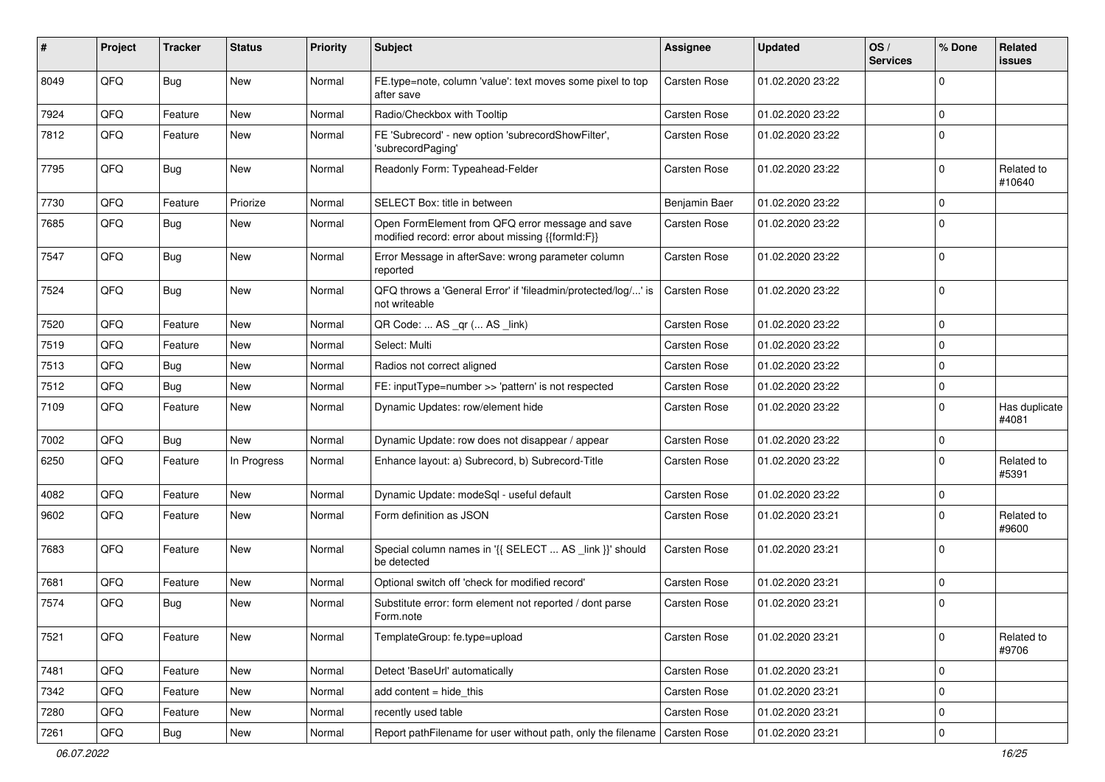| #    | Project | <b>Tracker</b> | <b>Status</b> | <b>Priority</b> | Subject                                                                                               | Assignee            | <b>Updated</b>   | OS/<br><b>Services</b> | % Done      | <b>Related</b><br><b>issues</b> |
|------|---------|----------------|---------------|-----------------|-------------------------------------------------------------------------------------------------------|---------------------|------------------|------------------------|-------------|---------------------------------|
| 8049 | QFQ     | <b>Bug</b>     | <b>New</b>    | Normal          | FE.type=note, column 'value': text moves some pixel to top<br>after save                              | <b>Carsten Rose</b> | 01.02.2020 23:22 |                        | $\Omega$    |                                 |
| 7924 | QFQ     | Feature        | New           | Normal          | Radio/Checkbox with Tooltip                                                                           | Carsten Rose        | 01.02.2020 23:22 |                        | $\mathbf 0$ |                                 |
| 7812 | QFQ     | Feature        | New           | Normal          | FE 'Subrecord' - new option 'subrecordShowFilter',<br>'subrecordPaging'                               | Carsten Rose        | 01.02.2020 23:22 |                        | $\mathbf 0$ |                                 |
| 7795 | QFQ     | Bug            | <b>New</b>    | Normal          | Readonly Form: Typeahead-Felder                                                                       | Carsten Rose        | 01.02.2020 23:22 |                        | $\Omega$    | Related to<br>#10640            |
| 7730 | QFQ     | Feature        | Priorize      | Normal          | SELECT Box: title in between                                                                          | Benjamin Baer       | 01.02.2020 23:22 |                        | $\Omega$    |                                 |
| 7685 | QFQ     | Bug            | New           | Normal          | Open FormElement from QFQ error message and save<br>modified record: error about missing {{formId:F}} | Carsten Rose        | 01.02.2020 23:22 |                        | $\mathbf 0$ |                                 |
| 7547 | QFQ     | Bug            | New           | Normal          | Error Message in afterSave: wrong parameter column<br>reported                                        | <b>Carsten Rose</b> | 01.02.2020 23:22 |                        | $\mathbf 0$ |                                 |
| 7524 | QFQ     | Bug            | <b>New</b>    | Normal          | QFQ throws a 'General Error' if 'fileadmin/protected/log/' is<br>not writeable                        | <b>Carsten Rose</b> | 01.02.2020 23:22 |                        | $\mathbf 0$ |                                 |
| 7520 | QFQ     | Feature        | <b>New</b>    | Normal          | QR Code:  AS _qr ( AS _link)                                                                          | <b>Carsten Rose</b> | 01.02.2020 23:22 |                        | $\mathbf 0$ |                                 |
| 7519 | QFQ     | Feature        | New           | Normal          | Select: Multi                                                                                         | <b>Carsten Rose</b> | 01.02.2020 23:22 |                        | $\Omega$    |                                 |
| 7513 | QFQ     | <b>Bug</b>     | <b>New</b>    | Normal          | Radios not correct aligned                                                                            | <b>Carsten Rose</b> | 01.02.2020 23:22 |                        | $\mathbf 0$ |                                 |
| 7512 | QFQ     | <b>Bug</b>     | <b>New</b>    | Normal          | FE: inputType=number >> 'pattern' is not respected                                                    | <b>Carsten Rose</b> | 01.02.2020 23:22 |                        | $\mathbf 0$ |                                 |
| 7109 | QFQ     | Feature        | New           | Normal          | Dynamic Updates: row/element hide                                                                     | Carsten Rose        | 01.02.2020 23:22 |                        | $\Omega$    | Has duplicate<br>#4081          |
| 7002 | QFQ     | Bug            | <b>New</b>    | Normal          | Dynamic Update: row does not disappear / appear                                                       | <b>Carsten Rose</b> | 01.02.2020 23:22 |                        | $\mathbf 0$ |                                 |
| 6250 | QFQ     | Feature        | In Progress   | Normal          | Enhance layout: a) Subrecord, b) Subrecord-Title                                                      | <b>Carsten Rose</b> | 01.02.2020 23:22 |                        | $\Omega$    | Related to<br>#5391             |
| 4082 | QFQ     | Feature        | <b>New</b>    | Normal          | Dynamic Update: modeSql - useful default                                                              | <b>Carsten Rose</b> | 01.02.2020 23:22 |                        | $\mathbf 0$ |                                 |
| 9602 | QFQ     | Feature        | New           | Normal          | Form definition as JSON                                                                               | Carsten Rose        | 01.02.2020 23:21 |                        | $\Omega$    | Related to<br>#9600             |
| 7683 | QFQ     | Feature        | New           | Normal          | Special column names in '{{ SELECT  AS _link }}' should<br>be detected                                | Carsten Rose        | 01.02.2020 23:21 |                        | $\Omega$    |                                 |
| 7681 | QFQ     | Feature        | <b>New</b>    | Normal          | Optional switch off 'check for modified record'                                                       | <b>Carsten Rose</b> | 01.02.2020 23:21 |                        | $\mathbf 0$ |                                 |
| 7574 | QFQ     | Bug            | New           | Normal          | Substitute error: form element not reported / dont parse<br>Form.note                                 | <b>Carsten Rose</b> | 01.02.2020 23:21 |                        | $\mathbf 0$ |                                 |
| 7521 | QFQ     | Feature        | New           | Normal          | TemplateGroup: fe.type=upload                                                                         | Carsten Rose        | 01.02.2020 23:21 |                        | 0           | Related to<br>#9706             |
| 7481 | QFQ     | Feature        | New           | Normal          | Detect 'BaseUrl' automatically                                                                        | Carsten Rose        | 01.02.2020 23:21 |                        | $\mathbf 0$ |                                 |
| 7342 | QFQ     | Feature        | <b>New</b>    | Normal          | add content = hide_this                                                                               | Carsten Rose        | 01.02.2020 23:21 |                        | $\mathbf 0$ |                                 |
| 7280 | QFQ     | Feature        | New           | Normal          | recently used table                                                                                   | Carsten Rose        | 01.02.2020 23:21 |                        | 0           |                                 |
| 7261 | QFQ     | <b>Bug</b>     | New           | Normal          | Report pathFilename for user without path, only the filename   Carsten Rose                           |                     | 01.02.2020 23:21 |                        | $\pmb{0}$   |                                 |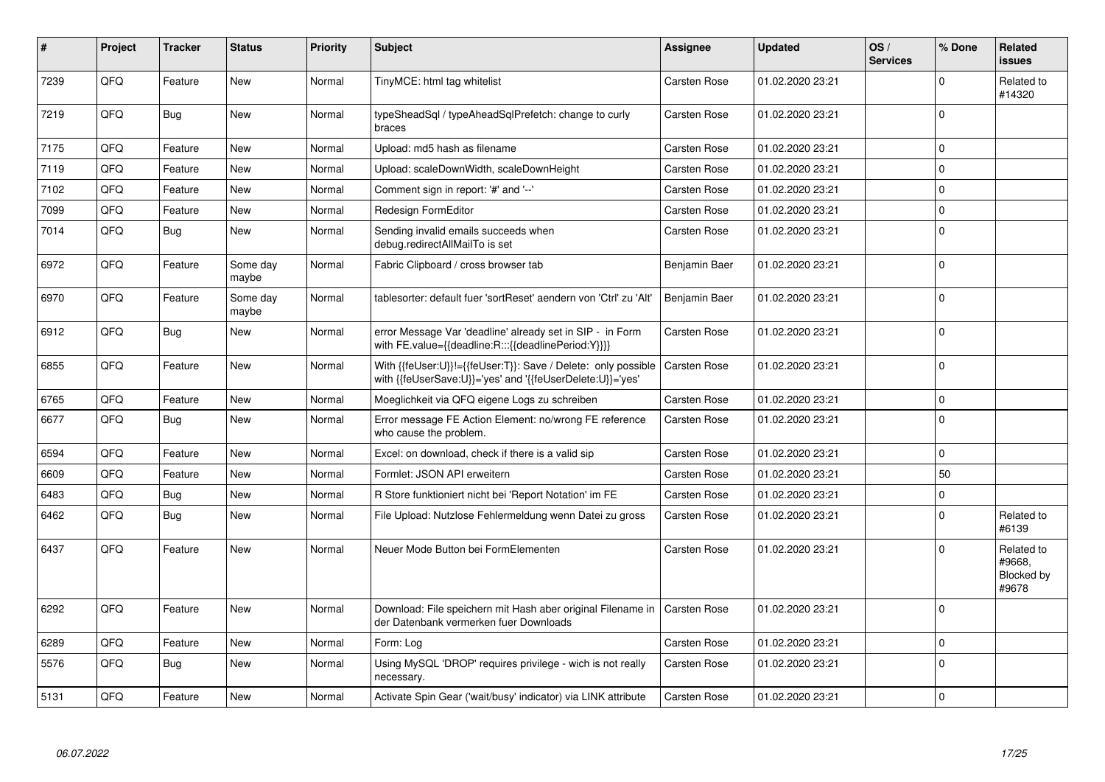| #    | Project | <b>Tracker</b> | <b>Status</b>     | <b>Priority</b> | <b>Subject</b>                                                                                                             | Assignee            | <b>Updated</b>   | OS/<br><b>Services</b> | % Done    | Related<br>issues                           |
|------|---------|----------------|-------------------|-----------------|----------------------------------------------------------------------------------------------------------------------------|---------------------|------------------|------------------------|-----------|---------------------------------------------|
| 7239 | QFQ     | Feature        | <b>New</b>        | Normal          | TinyMCE: html tag whitelist                                                                                                | <b>Carsten Rose</b> | 01.02.2020 23:21 |                        | $\Omega$  | Related to<br>#14320                        |
| 7219 | QFQ     | <b>Bug</b>     | <b>New</b>        | Normal          | typeSheadSql / typeAheadSqlPrefetch: change to curly<br>braces                                                             | Carsten Rose        | 01.02.2020 23:21 |                        | $\Omega$  |                                             |
| 7175 | QFQ     | Feature        | <b>New</b>        | Normal          | Upload: md5 hash as filename                                                                                               | Carsten Rose        | 01.02.2020 23:21 |                        | $\pmb{0}$ |                                             |
| 7119 | QFQ     | Feature        | <b>New</b>        | Normal          | Upload: scaleDownWidth, scaleDownHeight                                                                                    | <b>Carsten Rose</b> | 01.02.2020 23:21 |                        | $\Omega$  |                                             |
| 7102 | QFQ     | Feature        | <b>New</b>        | Normal          | Comment sign in report: '#' and '--'                                                                                       | Carsten Rose        | 01.02.2020 23:21 |                        | 0         |                                             |
| 7099 | QFQ     | Feature        | <b>New</b>        | Normal          | Redesign FormEditor                                                                                                        | <b>Carsten Rose</b> | 01.02.2020 23:21 |                        | 0         |                                             |
| 7014 | QFQ     | Bug            | <b>New</b>        | Normal          | Sending invalid emails succeeds when<br>debug.redirectAllMailTo is set                                                     | <b>Carsten Rose</b> | 01.02.2020 23:21 |                        | $\Omega$  |                                             |
| 6972 | QFQ     | Feature        | Some day<br>maybe | Normal          | Fabric Clipboard / cross browser tab                                                                                       | Benjamin Baer       | 01.02.2020 23:21 |                        | $\Omega$  |                                             |
| 6970 | QFQ     | Feature        | Some day<br>maybe | Normal          | tablesorter: default fuer 'sortReset' aendern von 'Ctrl' zu 'Alt'                                                          | Benjamin Baer       | 01.02.2020 23:21 |                        | $\Omega$  |                                             |
| 6912 | QFQ     | <b>Bug</b>     | <b>New</b>        | Normal          | error Message Var 'deadline' already set in SIP - in Form<br>with FE.value={{deadline:R:::{{deadlinePeriod:Y}}}}           | Carsten Rose        | 01.02.2020 23:21 |                        | $\Omega$  |                                             |
| 6855 | QFQ     | Feature        | <b>New</b>        | Normal          | With {{feUser:U}}!={{feUser:T}}: Save / Delete: only possible<br>with {{feUserSave:U}}='yes' and '{{feUserDelete:U}}='yes' | <b>Carsten Rose</b> | 01.02.2020 23:21 |                        | $\Omega$  |                                             |
| 6765 | QFQ     | Feature        | <b>New</b>        | Normal          | Moeglichkeit via QFQ eigene Logs zu schreiben                                                                              | <b>Carsten Rose</b> | 01.02.2020 23:21 |                        | 0         |                                             |
| 6677 | QFQ     | Bug            | <b>New</b>        | Normal          | Error message FE Action Element: no/wrong FE reference<br>who cause the problem.                                           | Carsten Rose        | 01.02.2020 23:21 |                        | $\Omega$  |                                             |
| 6594 | QFQ     | Feature        | New               | Normal          | Excel: on download, check if there is a valid sip                                                                          | Carsten Rose        | 01.02.2020 23:21 |                        | 0         |                                             |
| 6609 | QFQ     | Feature        | <b>New</b>        | Normal          | Formlet: JSON API erweitern                                                                                                | Carsten Rose        | 01.02.2020 23:21 |                        | 50        |                                             |
| 6483 | QFQ     | Bug            | New               | Normal          | R Store funktioniert nicht bei 'Report Notation' im FE                                                                     | Carsten Rose        | 01.02.2020 23:21 |                        | $\pmb{0}$ |                                             |
| 6462 | QFQ     | <b>Bug</b>     | <b>New</b>        | Normal          | File Upload: Nutzlose Fehlermeldung wenn Datei zu gross                                                                    | <b>Carsten Rose</b> | 01.02.2020 23:21 |                        | $\pmb{0}$ | Related to<br>#6139                         |
| 6437 | QFQ     | Feature        | <b>New</b>        | Normal          | Neuer Mode Button bei FormElementen                                                                                        | Carsten Rose        | 01.02.2020 23:21 |                        | $\Omega$  | Related to<br>#9668.<br>Blocked by<br>#9678 |
| 6292 | QFQ     | Feature        | <b>New</b>        | Normal          | Download: File speichern mit Hash aber original Filename in<br>der Datenbank vermerken fuer Downloads                      | <b>Carsten Rose</b> | 01.02.2020 23:21 |                        | $\Omega$  |                                             |
| 6289 | QFQ     | Feature        | <b>New</b>        | Normal          | Form: Log                                                                                                                  | Carsten Rose        | 01.02.2020 23:21 |                        | 0         |                                             |
| 5576 | QFQ     | <b>Bug</b>     | <b>New</b>        | Normal          | Using MySQL 'DROP' requires privilege - wich is not really<br>necessary.                                                   | Carsten Rose        | 01.02.2020 23:21 |                        | $\Omega$  |                                             |
| 5131 | QFQ     | Feature        | New               | Normal          | Activate Spin Gear ('wait/busy' indicator) via LINK attribute                                                              | Carsten Rose        | 01.02.2020 23:21 |                        | $\pmb{0}$ |                                             |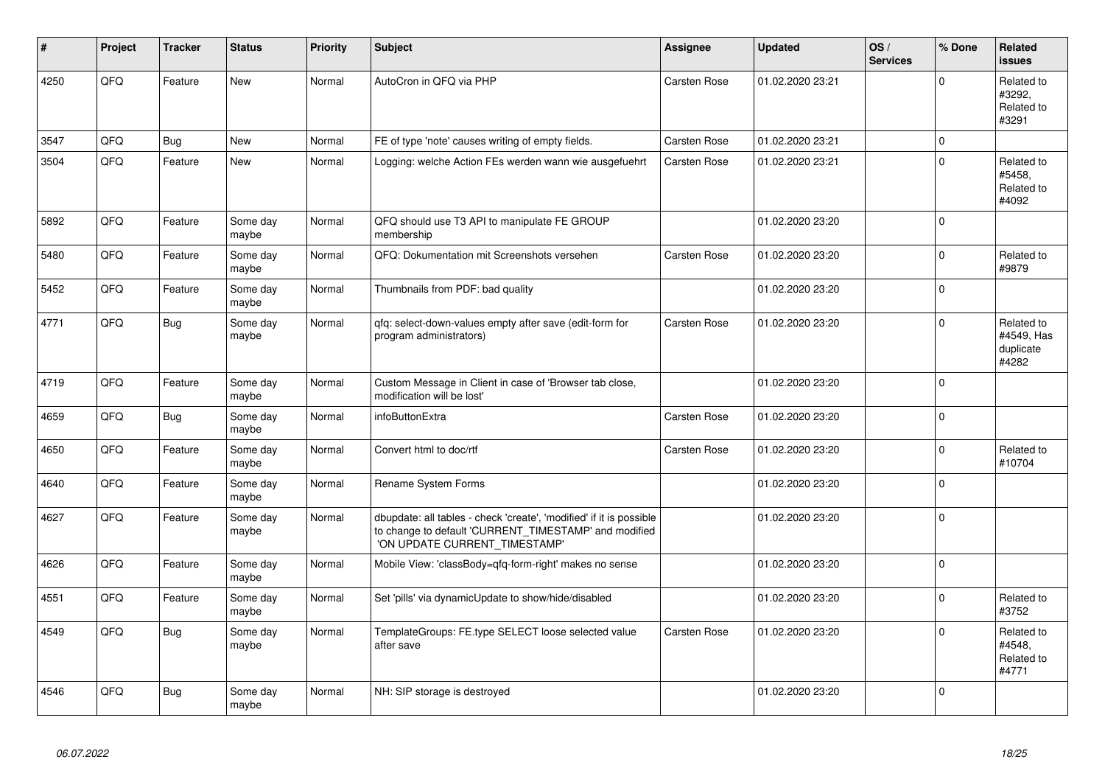| #    | Project | <b>Tracker</b> | <b>Status</b>     | <b>Priority</b> | <b>Subject</b>                                                                                                                                                | Assignee            | <b>Updated</b>   | OS/<br><b>Services</b> | % Done       | <b>Related</b><br><b>issues</b>                |
|------|---------|----------------|-------------------|-----------------|---------------------------------------------------------------------------------------------------------------------------------------------------------------|---------------------|------------------|------------------------|--------------|------------------------------------------------|
| 4250 | QFQ     | Feature        | New               | Normal          | AutoCron in QFQ via PHP                                                                                                                                       | <b>Carsten Rose</b> | 01.02.2020 23:21 |                        | $\Omega$     | Related to<br>#3292,<br>Related to<br>#3291    |
| 3547 | QFQ     | Bug            | <b>New</b>        | Normal          | FE of type 'note' causes writing of empty fields.                                                                                                             | Carsten Rose        | 01.02.2020 23:21 |                        | $\mathbf 0$  |                                                |
| 3504 | QFQ     | Feature        | New               | Normal          | Logging: welche Action FEs werden wann wie ausgefuehrt                                                                                                        | <b>Carsten Rose</b> | 01.02.2020 23:21 |                        | $\mathbf 0$  | Related to<br>#5458.<br>Related to<br>#4092    |
| 5892 | QFQ     | Feature        | Some day<br>maybe | Normal          | QFQ should use T3 API to manipulate FE GROUP<br>membership                                                                                                    |                     | 01.02.2020 23:20 |                        | $\Omega$     |                                                |
| 5480 | QFQ     | Feature        | Some day<br>maybe | Normal          | QFQ: Dokumentation mit Screenshots versehen                                                                                                                   | Carsten Rose        | 01.02.2020 23:20 |                        | $\Omega$     | Related to<br>#9879                            |
| 5452 | QFQ     | Feature        | Some day<br>maybe | Normal          | Thumbnails from PDF: bad quality                                                                                                                              |                     | 01.02.2020 23:20 |                        | $\mathbf 0$  |                                                |
| 4771 | QFQ     | Bug            | Some day<br>maybe | Normal          | qfq: select-down-values empty after save (edit-form for<br>program administrators)                                                                            | <b>Carsten Rose</b> | 01.02.2020 23:20 |                        | $\Omega$     | Related to<br>#4549, Has<br>duplicate<br>#4282 |
| 4719 | QFQ     | Feature        | Some day<br>maybe | Normal          | Custom Message in Client in case of 'Browser tab close,<br>modification will be lost'                                                                         |                     | 01.02.2020 23:20 |                        | $\Omega$     |                                                |
| 4659 | QFQ     | Bug            | Some day<br>maybe | Normal          | infoButtonExtra                                                                                                                                               | Carsten Rose        | 01.02.2020 23:20 |                        | $\Omega$     |                                                |
| 4650 | QFQ     | Feature        | Some day<br>maybe | Normal          | Convert html to doc/rtf                                                                                                                                       | <b>Carsten Rose</b> | 01.02.2020 23:20 |                        | $\Omega$     | Related to<br>#10704                           |
| 4640 | QFQ     | Feature        | Some day<br>maybe | Normal          | Rename System Forms                                                                                                                                           |                     | 01.02.2020 23:20 |                        | $\Omega$     |                                                |
| 4627 | QFQ     | Feature        | Some day<br>maybe | Normal          | dbupdate: all tables - check 'create', 'modified' if it is possible<br>to change to default 'CURRENT_TIMESTAMP' and modified<br>'ON UPDATE CURRENT_TIMESTAMP' |                     | 01.02.2020 23:20 |                        | $\Omega$     |                                                |
| 4626 | QFQ     | Feature        | Some day<br>maybe | Normal          | Mobile View: 'classBody=qfq-form-right' makes no sense                                                                                                        |                     | 01.02.2020 23:20 |                        | $\mathbf{0}$ |                                                |
| 4551 | QFQ     | Feature        | Some day<br>maybe | Normal          | Set 'pills' via dynamicUpdate to show/hide/disabled                                                                                                           |                     | 01.02.2020 23:20 |                        | $\Omega$     | Related to<br>#3752                            |
| 4549 | QFQ     | Bug            | Some day<br>maybe | Normal          | TemplateGroups: FE.type SELECT loose selected value<br>after save                                                                                             | <b>Carsten Rose</b> | 01.02.2020 23:20 |                        | $\Omega$     | Related to<br>#4548.<br>Related to<br>#4771    |
| 4546 | QFQ     | Bug            | Some day<br>maybe | Normal          | NH: SIP storage is destroyed                                                                                                                                  |                     | 01.02.2020 23:20 |                        | $\Omega$     |                                                |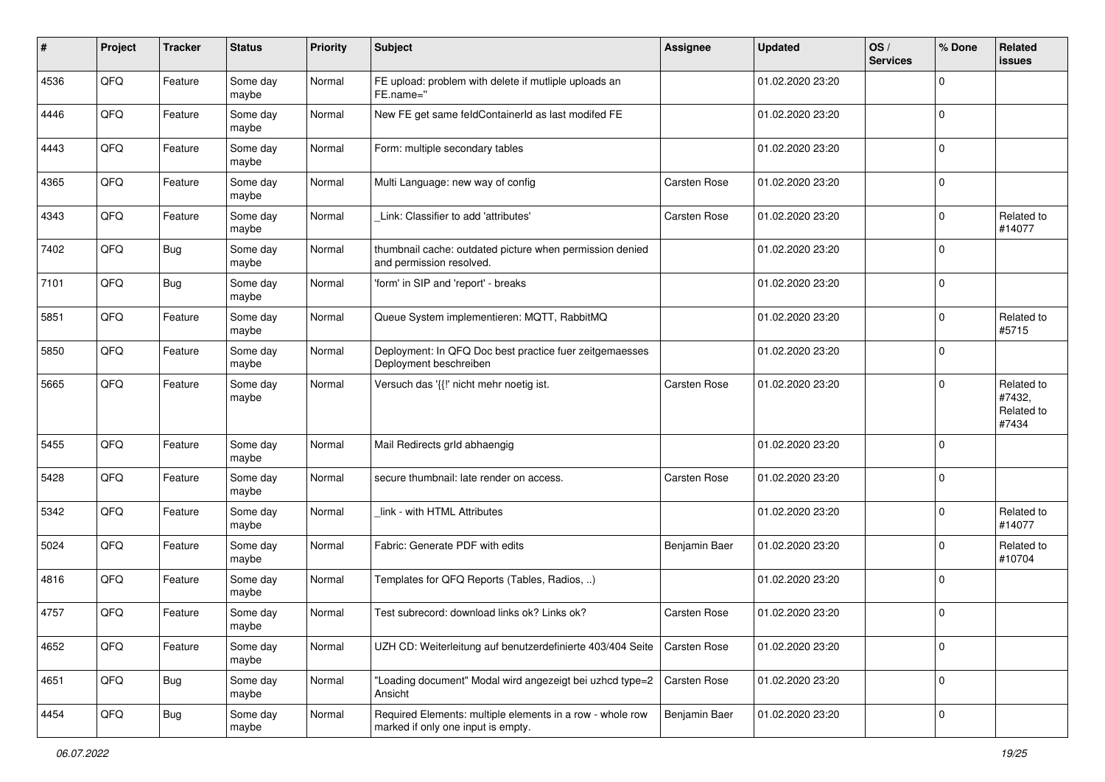| #    | Project | <b>Tracker</b> | <b>Status</b>     | <b>Priority</b> | <b>Subject</b>                                                                                  | <b>Assignee</b>     | <b>Updated</b>   | OS/<br><b>Services</b> | % Done      | <b>Related</b><br>issues                    |
|------|---------|----------------|-------------------|-----------------|-------------------------------------------------------------------------------------------------|---------------------|------------------|------------------------|-------------|---------------------------------------------|
| 4536 | QFQ     | Feature        | Some day<br>maybe | Normal          | FE upload: problem with delete if mutliple uploads an<br>FE.name="                              |                     | 01.02.2020 23:20 |                        | $\mathbf 0$ |                                             |
| 4446 | QFQ     | Feature        | Some day<br>maybe | Normal          | New FE get same feldContainerId as last modifed FE                                              |                     | 01.02.2020 23:20 |                        | $\mathbf 0$ |                                             |
| 4443 | QFQ     | Feature        | Some day<br>maybe | Normal          | Form: multiple secondary tables                                                                 |                     | 01.02.2020 23:20 |                        | $\mathbf 0$ |                                             |
| 4365 | QFQ     | Feature        | Some day<br>maybe | Normal          | Multi Language: new way of config                                                               | Carsten Rose        | 01.02.2020 23:20 |                        | 0           |                                             |
| 4343 | QFQ     | Feature        | Some day<br>maybe | Normal          | Link: Classifier to add 'attributes'                                                            | Carsten Rose        | 01.02.2020 23:20 |                        | $\mathbf 0$ | Related to<br>#14077                        |
| 7402 | QFQ     | <b>Bug</b>     | Some day<br>maybe | Normal          | thumbnail cache: outdated picture when permission denied<br>and permission resolved.            |                     | 01.02.2020 23:20 |                        | $\mathbf 0$ |                                             |
| 7101 | QFQ     | Bug            | Some day<br>maybe | Normal          | 'form' in SIP and 'report' - breaks                                                             |                     | 01.02.2020 23:20 |                        | $\Omega$    |                                             |
| 5851 | QFQ     | Feature        | Some day<br>maybe | Normal          | Queue System implementieren: MQTT, RabbitMQ                                                     |                     | 01.02.2020 23:20 |                        | 0           | Related to<br>#5715                         |
| 5850 | QFQ     | Feature        | Some day<br>maybe | Normal          | Deployment: In QFQ Doc best practice fuer zeitgemaesses<br>Deployment beschreiben               |                     | 01.02.2020 23:20 |                        | $\mathbf 0$ |                                             |
| 5665 | QFQ     | Feature        | Some day<br>maybe | Normal          | Versuch das '{{!' nicht mehr noetig ist.                                                        | <b>Carsten Rose</b> | 01.02.2020 23:20 |                        | $\mathbf 0$ | Related to<br>#7432,<br>Related to<br>#7434 |
| 5455 | QFQ     | Feature        | Some day<br>maybe | Normal          | Mail Redirects grld abhaengig                                                                   |                     | 01.02.2020 23:20 |                        | $\mathbf 0$ |                                             |
| 5428 | QFQ     | Feature        | Some day<br>maybe | Normal          | secure thumbnail: late render on access.                                                        | <b>Carsten Rose</b> | 01.02.2020 23:20 |                        | $\mathbf 0$ |                                             |
| 5342 | QFQ     | Feature        | Some day<br>maybe | Normal          | link - with HTML Attributes                                                                     |                     | 01.02.2020 23:20 |                        | $\mathbf 0$ | Related to<br>#14077                        |
| 5024 | QFQ     | Feature        | Some day<br>maybe | Normal          | Fabric: Generate PDF with edits                                                                 | Benjamin Baer       | 01.02.2020 23:20 |                        | $\Omega$    | Related to<br>#10704                        |
| 4816 | QFQ     | Feature        | Some day<br>maybe | Normal          | Templates for QFQ Reports (Tables, Radios, )                                                    |                     | 01.02.2020 23:20 |                        | $\mathbf 0$ |                                             |
| 4757 | QFQ     | Feature        | Some day<br>maybe | Normal          | Test subrecord: download links ok? Links ok?                                                    | <b>Carsten Rose</b> | 01.02.2020 23:20 |                        | $\mathbf 0$ |                                             |
| 4652 | QFQ     | Feature        | Some day<br>maybe | Normal          | UZH CD: Weiterleitung auf benutzerdefinierte 403/404 Seite                                      | Carsten Rose        | 01.02.2020 23:20 |                        | $\mathbf 0$ |                                             |
| 4651 | QFQ     | Bug            | Some day<br>maybe | Normal          | "Loading document" Modal wird angezeigt bei uzhcd type=2<br>Ansicht                             | Carsten Rose        | 01.02.2020 23:20 |                        | $\mathbf 0$ |                                             |
| 4454 | QFQ     | Bug            | Some day<br>maybe | Normal          | Required Elements: multiple elements in a row - whole row<br>marked if only one input is empty. | Benjamin Baer       | 01.02.2020 23:20 |                        | $\pmb{0}$   |                                             |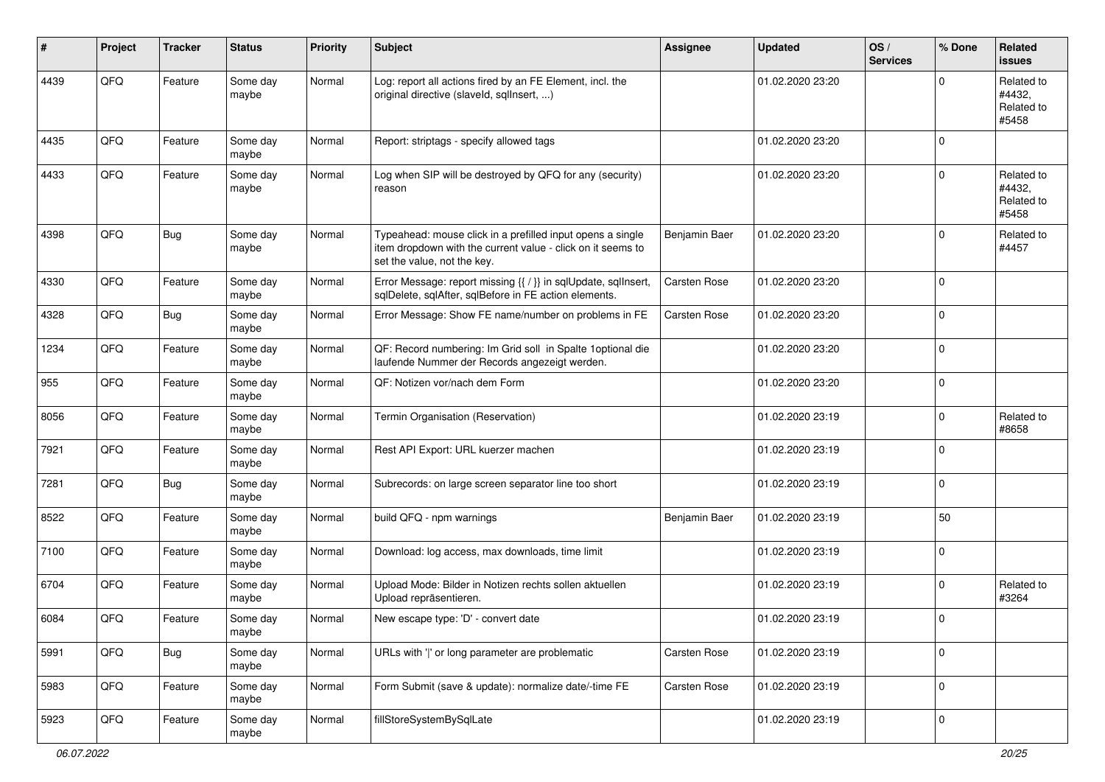| ∦    | Project | <b>Tracker</b> | <b>Status</b>     | <b>Priority</b> | <b>Subject</b>                                                                                                                                           | Assignee            | <b>Updated</b>   | OS/<br><b>Services</b> | % Done              | <b>Related</b><br><b>issues</b>             |
|------|---------|----------------|-------------------|-----------------|----------------------------------------------------------------------------------------------------------------------------------------------------------|---------------------|------------------|------------------------|---------------------|---------------------------------------------|
| 4439 | QFQ     | Feature        | Some day<br>maybe | Normal          | Log: report all actions fired by an FE Element, incl. the<br>original directive (slaveld, sqllnsert, )                                                   |                     | 01.02.2020 23:20 |                        | 0                   | Related to<br>#4432,<br>Related to<br>#5458 |
| 4435 | QFQ     | Feature        | Some day<br>maybe | Normal          | Report: striptags - specify allowed tags                                                                                                                 |                     | 01.02.2020 23:20 |                        | $\Omega$            |                                             |
| 4433 | QFQ     | Feature        | Some day<br>maybe | Normal          | Log when SIP will be destroyed by QFQ for any (security)<br>reason                                                                                       |                     | 01.02.2020 23:20 |                        | 0                   | Related to<br>#4432,<br>Related to<br>#5458 |
| 4398 | QFQ     | Bug            | Some day<br>maybe | Normal          | Typeahead: mouse click in a prefilled input opens a single<br>item dropdown with the current value - click on it seems to<br>set the value, not the key. | Benjamin Baer       | 01.02.2020 23:20 |                        | $\mathbf 0$         | Related to<br>#4457                         |
| 4330 | QFQ     | Feature        | Some day<br>maybe | Normal          | Error Message: report missing {{ / }} in sqlUpdate, sqlInsert,<br>sqlDelete, sqlAfter, sqlBefore in FE action elements.                                  | Carsten Rose        | 01.02.2020 23:20 |                        | $\mathbf 0$         |                                             |
| 4328 | QFQ     | <b>Bug</b>     | Some day<br>maybe | Normal          | Error Message: Show FE name/number on problems in FE                                                                                                     | <b>Carsten Rose</b> | 01.02.2020 23:20 |                        | $\mathbf 0$         |                                             |
| 1234 | QFQ     | Feature        | Some day<br>maybe | Normal          | QF: Record numbering: Im Grid soll in Spalte 1 optional die<br>laufende Nummer der Records angezeigt werden.                                             |                     | 01.02.2020 23:20 |                        | $\mathbf 0$         |                                             |
| 955  | QFQ     | Feature        | Some day<br>maybe | Normal          | QF: Notizen vor/nach dem Form                                                                                                                            |                     | 01.02.2020 23:20 |                        | $\mathbf{0}$        |                                             |
| 8056 | QFQ     | Feature        | Some day<br>maybe | Normal          | Termin Organisation (Reservation)                                                                                                                        |                     | 01.02.2020 23:19 |                        | $\mathbf 0$         | Related to<br>#8658                         |
| 7921 | QFQ     | Feature        | Some day<br>maybe | Normal          | Rest API Export: URL kuerzer machen                                                                                                                      |                     | 01.02.2020 23:19 |                        | $\mathbf 0$         |                                             |
| 7281 | QFQ     | Bug            | Some day<br>maybe | Normal          | Subrecords: on large screen separator line too short                                                                                                     |                     | 01.02.2020 23:19 |                        | 0                   |                                             |
| 8522 | QFQ     | Feature        | Some day<br>maybe | Normal          | build QFQ - npm warnings                                                                                                                                 | Benjamin Baer       | 01.02.2020 23:19 |                        | 50                  |                                             |
| 7100 | QFQ     | Feature        | Some day<br>maybe | Normal          | Download: log access, max downloads, time limit                                                                                                          |                     | 01.02.2020 23:19 |                        | $\mathbf 0$         |                                             |
| 6704 | QFQ     | Feature        | Some day<br>maybe | Normal          | Upload Mode: Bilder in Notizen rechts sollen aktuellen<br>Upload repräsentieren.                                                                         |                     | 01.02.2020 23:19 |                        | $\mathbf 0$         | Related to<br>#3264                         |
| 6084 | QFQ     | Feature        | Some day<br>maybe | Normal          | New escape type: 'D' - convert date                                                                                                                      |                     | 01.02.2020 23:19 |                        | $\mathbf 0$         |                                             |
| 5991 | QFQ     | <b>Bug</b>     | Some day<br>maybe | Normal          | URLs with ' ' or long parameter are problematic                                                                                                          | Carsten Rose        | 01.02.2020 23:19 |                        | 0                   |                                             |
| 5983 | QFQ     | Feature        | Some day<br>maybe | Normal          | Form Submit (save & update): normalize date/-time FE                                                                                                     | Carsten Rose        | 01.02.2020 23:19 |                        | $\mathsf{O}\xspace$ |                                             |
| 5923 | QFQ     | Feature        | Some day<br>maybe | Normal          | fillStoreSystemBySqlLate                                                                                                                                 |                     | 01.02.2020 23:19 |                        | $\mathbf 0$         |                                             |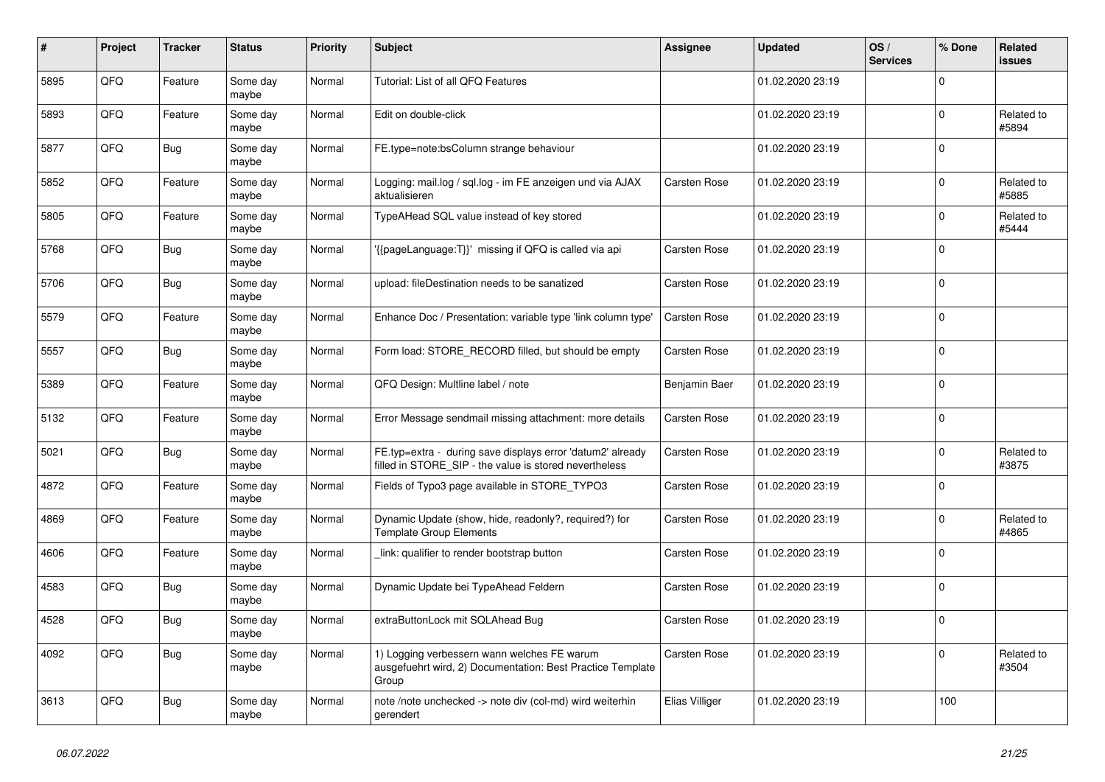| #    | Project | <b>Tracker</b> | <b>Status</b>     | <b>Priority</b> | <b>Subject</b>                                                                                                       | Assignee            | <b>Updated</b>   | OS/<br><b>Services</b> | % Done      | Related<br><b>issues</b> |
|------|---------|----------------|-------------------|-----------------|----------------------------------------------------------------------------------------------------------------------|---------------------|------------------|------------------------|-------------|--------------------------|
| 5895 | QFQ     | Feature        | Some day<br>maybe | Normal          | Tutorial: List of all QFQ Features                                                                                   |                     | 01.02.2020 23:19 |                        | $\Omega$    |                          |
| 5893 | QFQ     | Feature        | Some day<br>maybe | Normal          | Edit on double-click                                                                                                 |                     | 01.02.2020 23:19 |                        | $\mathbf 0$ | Related to<br>#5894      |
| 5877 | QFQ     | <b>Bug</b>     | Some day<br>maybe | Normal          | FE.type=note:bsColumn strange behaviour                                                                              |                     | 01.02.2020 23:19 |                        | $\Omega$    |                          |
| 5852 | QFQ     | Feature        | Some day<br>maybe | Normal          | Logging: mail.log / sql.log - im FE anzeigen und via AJAX<br>aktualisieren                                           | <b>Carsten Rose</b> | 01.02.2020 23:19 |                        | $\Omega$    | Related to<br>#5885      |
| 5805 | QFQ     | Feature        | Some day<br>maybe | Normal          | TypeAHead SQL value instead of key stored                                                                            |                     | 01.02.2020 23:19 |                        | $\mathbf 0$ | Related to<br>#5444      |
| 5768 | QFQ     | Bug            | Some day<br>maybe | Normal          | {{pageLanguage:T}}' missing if QFQ is called via api                                                                 | Carsten Rose        | 01.02.2020 23:19 |                        | $\Omega$    |                          |
| 5706 | QFQ     | <b>Bug</b>     | Some day<br>maybe | Normal          | upload: fileDestination needs to be sanatized                                                                        | <b>Carsten Rose</b> | 01.02.2020 23:19 |                        | $\Omega$    |                          |
| 5579 | QFQ     | Feature        | Some day<br>maybe | Normal          | Enhance Doc / Presentation: variable type 'link column type'                                                         | Carsten Rose        | 01.02.2020 23:19 |                        | $\mathbf 0$ |                          |
| 5557 | QFQ     | <b>Bug</b>     | Some dav<br>maybe | Normal          | Form load: STORE_RECORD filled, but should be empty                                                                  | Carsten Rose        | 01.02.2020 23:19 |                        | $\Omega$    |                          |
| 5389 | QFQ     | Feature        | Some day<br>maybe | Normal          | QFQ Design: Multline label / note                                                                                    | Benjamin Baer       | 01.02.2020 23:19 |                        | $\mathbf 0$ |                          |
| 5132 | QFQ     | Feature        | Some day<br>maybe | Normal          | Error Message sendmail missing attachment: more details                                                              | Carsten Rose        | 01.02.2020 23:19 |                        | $\Omega$    |                          |
| 5021 | QFQ     | <b>Bug</b>     | Some dav<br>maybe | Normal          | FE.typ=extra - during save displays error 'datum2' already<br>filled in STORE SIP - the value is stored nevertheless | Carsten Rose        | 01.02.2020 23:19 |                        | $\Omega$    | Related to<br>#3875      |
| 4872 | QFQ     | Feature        | Some day<br>maybe | Normal          | Fields of Typo3 page available in STORE TYPO3                                                                        | Carsten Rose        | 01.02.2020 23:19 |                        | $\mathbf 0$ |                          |
| 4869 | QFQ     | Feature        | Some day<br>maybe | Normal          | Dynamic Update (show, hide, readonly?, required?) for<br><b>Template Group Elements</b>                              | Carsten Rose        | 01.02.2020 23:19 |                        | $\Omega$    | Related to<br>#4865      |
| 4606 | QFQ     | Feature        | Some day<br>maybe | Normal          | link: qualifier to render bootstrap button                                                                           | Carsten Rose        | 01.02.2020 23:19 |                        | $\mathbf 0$ |                          |
| 4583 | QFQ     | <b>Bug</b>     | Some day<br>maybe | Normal          | Dynamic Update bei TypeAhead Feldern                                                                                 | <b>Carsten Rose</b> | 01.02.2020 23:19 |                        | $\mathbf 0$ |                          |
| 4528 | QFQ     | <b>Bug</b>     | Some dav<br>maybe | Normal          | extraButtonLock mit SQLAhead Bug                                                                                     | Carsten Rose        | 01.02.2020 23:19 |                        | $\mathbf 0$ |                          |
| 4092 | QFQ     | Bug            | Some day<br>maybe | Normal          | 1) Logging verbessern wann welches FE warum<br>ausgefuehrt wird, 2) Documentation: Best Practice Template<br>Group   | Carsten Rose        | 01.02.2020 23:19 |                        | $\mathbf 0$ | Related to<br>#3504      |
| 3613 | QFQ     | <b>Bug</b>     | Some day<br>maybe | Normal          | note /note unchecked -> note div (col-md) wird weiterhin<br>gerendert                                                | Elias Villiger      | 01.02.2020 23:19 |                        | 100         |                          |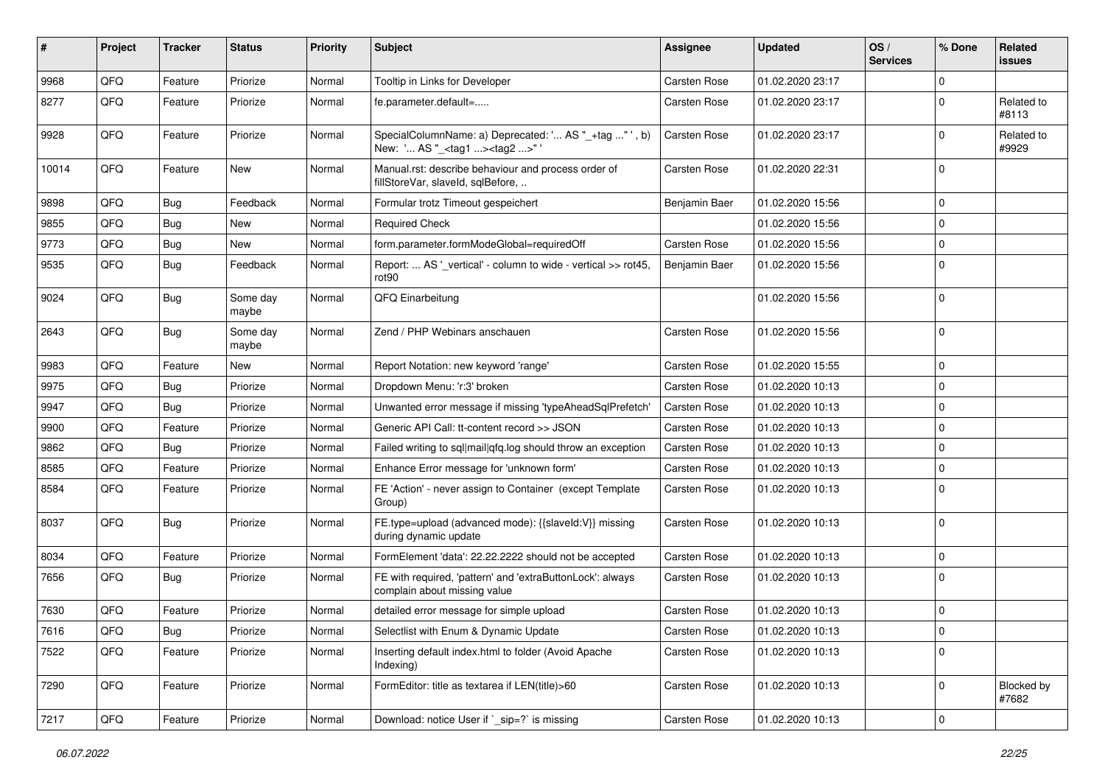| ∦     | Project        | <b>Tracker</b> | <b>Status</b>     | <b>Priority</b> | Subject                                                                                           | Assignee            | <b>Updated</b>   | OS/<br><b>Services</b> | % Done      | Related<br><b>issues</b>   |
|-------|----------------|----------------|-------------------|-----------------|---------------------------------------------------------------------------------------------------|---------------------|------------------|------------------------|-------------|----------------------------|
| 9968  | QFQ            | Feature        | Priorize          | Normal          | Tooltip in Links for Developer                                                                    | Carsten Rose        | 01.02.2020 23:17 |                        | $\Omega$    |                            |
| 8277  | QFQ            | Feature        | Priorize          | Normal          | fe.parameter.default=                                                                             | Carsten Rose        | 01.02.2020 23:17 |                        | $\mathbf 0$ | Related to<br>#8113        |
| 9928  | QFQ            | Feature        | Priorize          | Normal          | SpecialColumnName: a) Deprecated: ' AS "_+tag " ', b)<br>New: ' AS "_ <tag1><tag2>"</tag2></tag1> | Carsten Rose        | 01.02.2020 23:17 |                        | $\mathbf 0$ | Related to<br>#9929        |
| 10014 | QFQ            | Feature        | <b>New</b>        | Normal          | Manual.rst: describe behaviour and process order of<br>fillStoreVar, slaveId, sqlBefore,          | Carsten Rose        | 01.02.2020 22:31 |                        | $\Omega$    |                            |
| 9898  | QFQ            | Bug            | Feedback          | Normal          | Formular trotz Timeout gespeichert                                                                | Benjamin Baer       | 01.02.2020 15:56 |                        | $\mathbf 0$ |                            |
| 9855  | QFQ            | Bug            | <b>New</b>        | Normal          | <b>Required Check</b>                                                                             |                     | 01.02.2020 15:56 |                        | $\mathbf 0$ |                            |
| 9773  | QFQ            | Bug            | New               | Normal          | form.parameter.formModeGlobal=requiredOff                                                         | <b>Carsten Rose</b> | 01.02.2020 15:56 |                        | $\mathbf 0$ |                            |
| 9535  | QFQ            | Bug            | Feedback          | Normal          | Report:  AS '_vertical' - column to wide - vertical >> rot45,<br>rot90                            | Benjamin Baer       | 01.02.2020 15:56 |                        | $\mathbf 0$ |                            |
| 9024  | QFQ            | Bug            | Some day<br>maybe | Normal          | QFQ Einarbeitung                                                                                  |                     | 01.02.2020 15:56 |                        | $\mathbf 0$ |                            |
| 2643  | QFQ            | <b>Bug</b>     | Some day<br>maybe | Normal          | Zend / PHP Webinars anschauen                                                                     | Carsten Rose        | 01.02.2020 15:56 |                        | $\mathbf 0$ |                            |
| 9983  | QFQ            | Feature        | <b>New</b>        | Normal          | Report Notation: new keyword 'range'                                                              | Carsten Rose        | 01.02.2020 15:55 |                        | $\mathbf 0$ |                            |
| 9975  | QFQ            | Bug            | Priorize          | Normal          | Dropdown Menu: 'r:3' broken                                                                       | <b>Carsten Rose</b> | 01.02.2020 10:13 |                        | 0           |                            |
| 9947  | QFQ            | Bug            | Priorize          | Normal          | Unwanted error message if missing 'typeAheadSqlPrefetch'                                          | Carsten Rose        | 01.02.2020 10:13 |                        | $\mathbf 0$ |                            |
| 9900  | QFQ            | Feature        | Priorize          | Normal          | Generic API Call: tt-content record >> JSON                                                       | Carsten Rose        | 01.02.2020 10:13 |                        | $\mathbf 0$ |                            |
| 9862  | QFQ            | Bug            | Priorize          | Normal          | Failed writing to sql mail qfq.log should throw an exception                                      | Carsten Rose        | 01.02.2020 10:13 |                        | $\mathbf 0$ |                            |
| 8585  | QFQ            | Feature        | Priorize          | Normal          | Enhance Error message for 'unknown form'                                                          | Carsten Rose        | 01.02.2020 10:13 |                        | $\mathbf 0$ |                            |
| 8584  | QFQ            | Feature        | Priorize          | Normal          | FE 'Action' - never assign to Container (except Template<br>Group)                                | Carsten Rose        | 01.02.2020 10:13 |                        | $\mathbf 0$ |                            |
| 8037  | QFQ            | Bug            | Priorize          | Normal          | FE.type=upload (advanced mode): {{slaveld:V}} missing<br>during dynamic update                    | Carsten Rose        | 01.02.2020 10:13 |                        | $\mathbf 0$ |                            |
| 8034  | QFQ            | Feature        | Priorize          | Normal          | FormElement 'data': 22.22.2222 should not be accepted                                             | Carsten Rose        | 01.02.2020 10:13 |                        | $\mathbf 0$ |                            |
| 7656  | QFQ            | Bug            | Priorize          | Normal          | FE with required, 'pattern' and 'extraButtonLock': always<br>complain about missing value         | Carsten Rose        | 01.02.2020 10:13 |                        | $\mathbf 0$ |                            |
| 7630  | QFQ            | Feature        | Priorize          | Normal          | detailed error message for simple upload                                                          | Carsten Rose        | 01.02.2020 10:13 |                        | $\mathbf 0$ |                            |
| 7616  | QFO            | Bug            | Priorize          | Normal          | Selectlist with Enum & Dynamic Update                                                             | Carsten Rose        | 01.02.2020 10:13 |                        | l 0         |                            |
| 7522  | QFQ            | Feature        | Priorize          | Normal          | Inserting default index.html to folder (Avoid Apache<br>Indexing)                                 | Carsten Rose        | 01.02.2020 10:13 |                        | $\mathbf 0$ |                            |
| 7290  | QFQ            | Feature        | Priorize          | Normal          | FormEditor: title as textarea if LEN(title)>60                                                    | Carsten Rose        | 01.02.2020 10:13 |                        | $\mathbf 0$ | <b>Blocked by</b><br>#7682 |
| 7217  | $\mathsf{QFQ}$ | Feature        | Priorize          | Normal          | Download: notice User if `_sip=?` is missing                                                      | Carsten Rose        | 01.02.2020 10:13 |                        | $\mathbf 0$ |                            |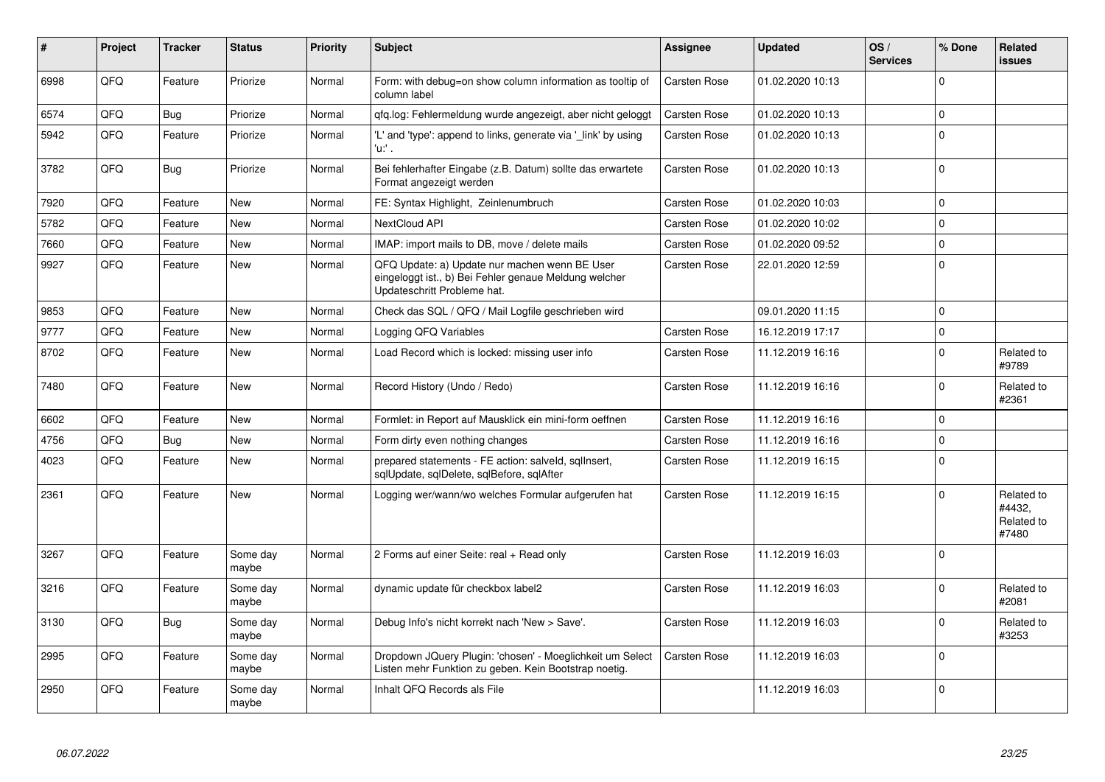| #    | Project | <b>Tracker</b> | <b>Status</b>     | <b>Priority</b> | <b>Subject</b>                                                                                                                        | Assignee            | <b>Updated</b>   | OS/<br><b>Services</b> | % Done         | <b>Related</b><br><b>issues</b>             |
|------|---------|----------------|-------------------|-----------------|---------------------------------------------------------------------------------------------------------------------------------------|---------------------|------------------|------------------------|----------------|---------------------------------------------|
| 6998 | QFQ     | Feature        | Priorize          | Normal          | Form: with debug=on show column information as tooltip of<br>column label                                                             | Carsten Rose        | 01.02.2020 10:13 |                        | $\Omega$       |                                             |
| 6574 | QFQ     | <b>Bug</b>     | Priorize          | Normal          | qfq.log: Fehlermeldung wurde angezeigt, aber nicht geloggt                                                                            | Carsten Rose        | 01.02.2020 10:13 |                        | 0              |                                             |
| 5942 | QFQ     | Feature        | Priorize          | Normal          | 'L' and 'type': append to links, generate via '_link' by using<br>'u:' .                                                              | Carsten Rose        | 01.02.2020 10:13 |                        | $\Omega$       |                                             |
| 3782 | QFQ     | Bug            | Priorize          | Normal          | Bei fehlerhafter Eingabe (z.B. Datum) sollte das erwartete<br>Format angezeigt werden                                                 | Carsten Rose        | 01.02.2020 10:13 |                        | $\Omega$       |                                             |
| 7920 | QFQ     | Feature        | <b>New</b>        | Normal          | FE: Syntax Highlight, Zeinlenumbruch                                                                                                  | Carsten Rose        | 01.02.2020 10:03 |                        | $\Omega$       |                                             |
| 5782 | QFQ     | Feature        | <b>New</b>        | Normal          | NextCloud API                                                                                                                         | <b>Carsten Rose</b> | 01.02.2020 10:02 |                        | $\Omega$       |                                             |
| 7660 | QFQ     | Feature        | <b>New</b>        | Normal          | IMAP: import mails to DB, move / delete mails                                                                                         | <b>Carsten Rose</b> | 01.02.2020 09:52 |                        | $\Omega$       |                                             |
| 9927 | QFQ     | Feature        | <b>New</b>        | Normal          | QFQ Update: a) Update nur machen wenn BE User<br>eingeloggt ist., b) Bei Fehler genaue Meldung welcher<br>Updateschritt Probleme hat. | Carsten Rose        | 22.01.2020 12:59 |                        | $\Omega$       |                                             |
| 9853 | QFQ     | Feature        | <b>New</b>        | Normal          | Check das SQL / QFQ / Mail Logfile geschrieben wird                                                                                   |                     | 09.01.2020 11:15 |                        | $\Omega$       |                                             |
| 9777 | QFQ     | Feature        | <b>New</b>        | Normal          | Logging QFQ Variables                                                                                                                 | Carsten Rose        | 16.12.2019 17:17 |                        | 0              |                                             |
| 8702 | QFQ     | Feature        | New               | Normal          | Load Record which is locked: missing user info                                                                                        | Carsten Rose        | 11.12.2019 16:16 |                        | $\Omega$       | Related to<br>#9789                         |
| 7480 | QFQ     | Feature        | <b>New</b>        | Normal          | Record History (Undo / Redo)                                                                                                          | Carsten Rose        | 11.12.2019 16:16 |                        | $\overline{0}$ | Related to<br>#2361                         |
| 6602 | QFQ     | Feature        | New               | Normal          | Formlet: in Report auf Mausklick ein mini-form oeffnen                                                                                | Carsten Rose        | 11.12.2019 16:16 |                        | 0              |                                             |
| 4756 | QFQ     | <b>Bug</b>     | New               | Normal          | Form dirty even nothing changes                                                                                                       | Carsten Rose        | 11.12.2019 16:16 |                        | 0              |                                             |
| 4023 | QFQ     | Feature        | <b>New</b>        | Normal          | prepared statements - FE action: salveld, sqllnsert,<br>sqlUpdate, sqlDelete, sqlBefore, sqlAfter                                     | <b>Carsten Rose</b> | 11.12.2019 16:15 |                        | $\Omega$       |                                             |
| 2361 | QFQ     | Feature        | <b>New</b>        | Normal          | Logging wer/wann/wo welches Formular aufgerufen hat                                                                                   | Carsten Rose        | 11.12.2019 16:15 |                        | $\Omega$       | Related to<br>#4432,<br>Related to<br>#7480 |
| 3267 | QFQ     | Feature        | Some day<br>maybe | Normal          | 2 Forms auf einer Seite: real + Read only                                                                                             | Carsten Rose        | 11.12.2019 16:03 |                        | $\Omega$       |                                             |
| 3216 | QFQ     | Feature        | Some day<br>maybe | Normal          | dynamic update für checkbox label2                                                                                                    | <b>Carsten Rose</b> | 11.12.2019 16:03 |                        | <sup>0</sup>   | Related to<br>#2081                         |
| 3130 | QFQ     | Bug            | Some day<br>maybe | Normal          | Debug Info's nicht korrekt nach 'New > Save'.                                                                                         | Carsten Rose        | 11.12.2019 16:03 |                        | 0              | Related to<br>#3253                         |
| 2995 | QFQ     | Feature        | Some day<br>maybe | Normal          | Dropdown JQuery Plugin: 'chosen' - Moeglichkeit um Select<br>Listen mehr Funktion zu geben. Kein Bootstrap noetig.                    | <b>Carsten Rose</b> | 11.12.2019 16:03 |                        | 0              |                                             |
| 2950 | QFQ     | Feature        | Some day<br>maybe | Normal          | Inhalt QFQ Records als File                                                                                                           |                     | 11.12.2019 16:03 |                        | 0              |                                             |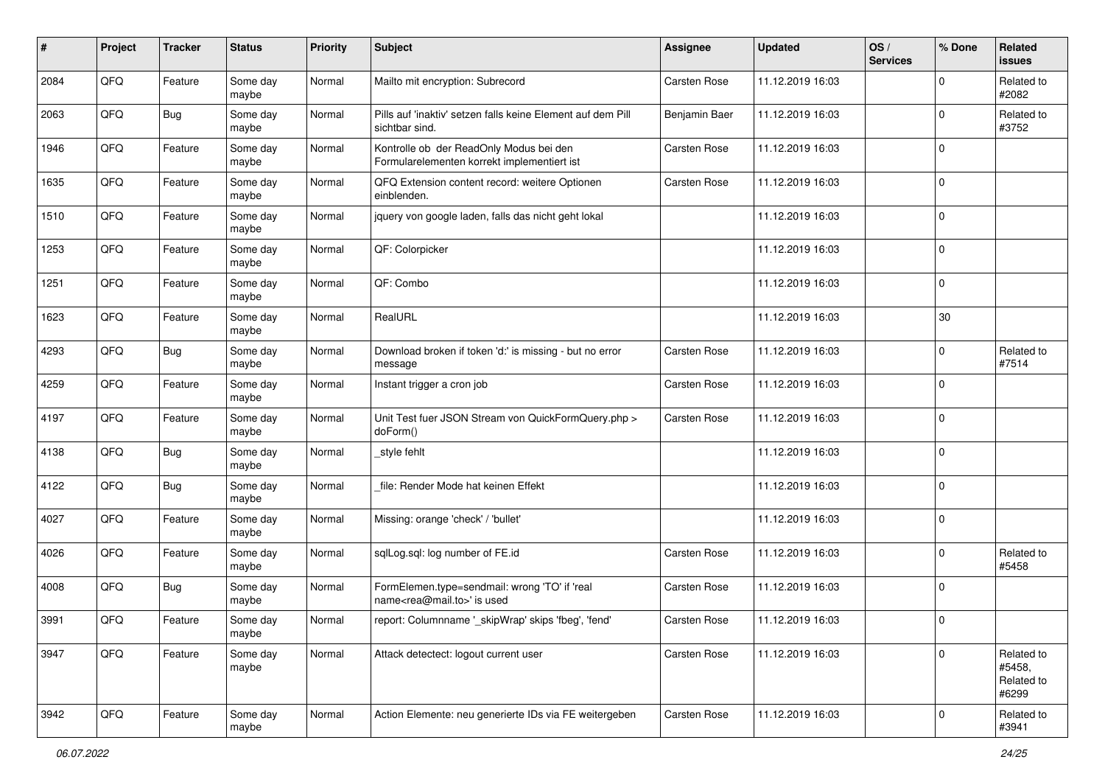| $\sharp$ | Project | <b>Tracker</b> | <b>Status</b>     | <b>Priority</b> | <b>Subject</b>                                                                             | <b>Assignee</b>     | <b>Updated</b>   | OS/<br><b>Services</b> | % Done              | <b>Related</b><br>issues                    |
|----------|---------|----------------|-------------------|-----------------|--------------------------------------------------------------------------------------------|---------------------|------------------|------------------------|---------------------|---------------------------------------------|
| 2084     | QFQ     | Feature        | Some day<br>maybe | Normal          | Mailto mit encryption: Subrecord                                                           | Carsten Rose        | 11.12.2019 16:03 |                        | $\mathbf 0$         | Related to<br>#2082                         |
| 2063     | QFQ     | <b>Bug</b>     | Some day<br>maybe | Normal          | Pills auf 'inaktiv' setzen falls keine Element auf dem Pill<br>sichtbar sind.              | Benjamin Baer       | 11.12.2019 16:03 |                        | $\mathbf 0$         | Related to<br>#3752                         |
| 1946     | QFQ     | Feature        | Some day<br>maybe | Normal          | Kontrolle ob der ReadOnly Modus bei den<br>Formularelementen korrekt implementiert ist     | Carsten Rose        | 11.12.2019 16:03 |                        | 0                   |                                             |
| 1635     | QFQ     | Feature        | Some day<br>maybe | Normal          | QFQ Extension content record: weitere Optionen<br>einblenden.                              | Carsten Rose        | 11.12.2019 16:03 |                        | 0                   |                                             |
| 1510     | QFQ     | Feature        | Some day<br>maybe | Normal          | jquery von google laden, falls das nicht geht lokal                                        |                     | 11.12.2019 16:03 |                        | $\mathbf 0$         |                                             |
| 1253     | QFQ     | Feature        | Some day<br>maybe | Normal          | QF: Colorpicker                                                                            |                     | 11.12.2019 16:03 |                        | $\mathbf 0$         |                                             |
| 1251     | QFQ     | Feature        | Some day<br>maybe | Normal          | QF: Combo                                                                                  |                     | 11.12.2019 16:03 |                        | $\mathbf 0$         |                                             |
| 1623     | QFQ     | Feature        | Some day<br>maybe | Normal          | RealURL                                                                                    |                     | 11.12.2019 16:03 |                        | $30\,$              |                                             |
| 4293     | QFQ     | <b>Bug</b>     | Some day<br>maybe | Normal          | Download broken if token 'd:' is missing - but no error<br>message                         | <b>Carsten Rose</b> | 11.12.2019 16:03 |                        | $\mathbf 0$         | Related to<br>#7514                         |
| 4259     | QFQ     | Feature        | Some day<br>maybe | Normal          | Instant trigger a cron job                                                                 | Carsten Rose        | 11.12.2019 16:03 |                        | $\mathbf 0$         |                                             |
| 4197     | QFQ     | Feature        | Some day<br>maybe | Normal          | Unit Test fuer JSON Stream von QuickFormQuery.php ><br>doForm()                            | <b>Carsten Rose</b> | 11.12.2019 16:03 |                        | $\mathbf 0$         |                                             |
| 4138     | QFQ     | Bug            | Some day<br>maybe | Normal          | style fehlt                                                                                |                     | 11.12.2019 16:03 |                        | $\mathbf 0$         |                                             |
| 4122     | QFQ     | <b>Bug</b>     | Some day<br>maybe | Normal          | file: Render Mode hat keinen Effekt                                                        |                     | 11.12.2019 16:03 |                        | $\mathsf{O}\xspace$ |                                             |
| 4027     | QFQ     | Feature        | Some day<br>maybe | Normal          | Missing: orange 'check' / 'bullet'                                                         |                     | 11.12.2019 16:03 |                        | 0                   |                                             |
| 4026     | QFQ     | Feature        | Some day<br>maybe | Normal          | sqlLog.sql: log number of FE.id                                                            | <b>Carsten Rose</b> | 11.12.2019 16:03 |                        | 0                   | Related to<br>#5458                         |
| 4008     | QFQ     | Bug            | Some day<br>maybe | Normal          | FormElemen.type=sendmail: wrong 'TO' if 'real<br>name <rea@mail.to>' is used</rea@mail.to> | <b>Carsten Rose</b> | 11.12.2019 16:03 |                        | $\mathbf 0$         |                                             |
| 3991     | QFQ     | Feature        | Some day<br>maybe | Normal          | report: Columnname '_skipWrap' skips 'fbeg', 'fend'                                        | <b>Carsten Rose</b> | 11.12.2019 16:03 |                        | $\mathbf 0$         |                                             |
| 3947     | QFQ     | Feature        | Some day<br>maybe | Normal          | Attack detectect: logout current user                                                      | Carsten Rose        | 11.12.2019 16:03 |                        | $\mathbf 0$         | Related to<br>#5458,<br>Related to<br>#6299 |
| 3942     | QFQ     | Feature        | Some day<br>maybe | Normal          | Action Elemente: neu generierte IDs via FE weitergeben                                     | Carsten Rose        | 11.12.2019 16:03 |                        | $\mathsf{O}\xspace$ | Related to<br>#3941                         |